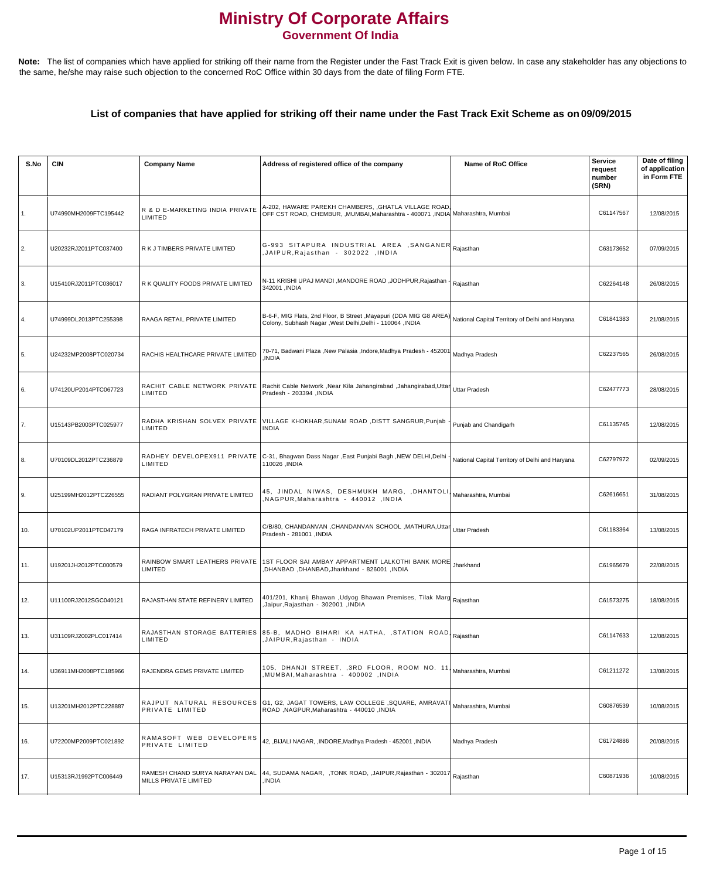## **Ministry Of Corporate Affairs Government Of India**

Note: The list of companies which have applied for striking off their name from the Register under the Fast Track Exit is given below. In case any stakeholder has any objections to the same, he/she may raise such objection to the concerned RoC Office within 30 days from the date of filing Form FTE.

## **List of companies that have applied for striking off their name under the Fast Track Exit Scheme as on 09/09/2015**

| S.No           | <b>CIN</b>            | <b>Company Name</b>                                     | Address of registered office of the company                                                                                                                                   | Name of RoC Office                              | <b>Service</b><br>request<br>number<br>(SRN) | Date of filing<br>of application<br>in Form FTE |
|----------------|-----------------------|---------------------------------------------------------|-------------------------------------------------------------------------------------------------------------------------------------------------------------------------------|-------------------------------------------------|----------------------------------------------|-------------------------------------------------|
| $\mathbf{1}$ . | U74990MH2009FTC195442 | R & D E-MARKETING INDIA PRIVATE<br>LIMITED              | A-202, HAWARE PAREKH CHAMBERS, , GHATLA VILLAGE ROAD,<br>OFF CST ROAD, CHEMBUR, ,MUMBAI,Maharashtra - 400071 ,INDIA Maharashtra, Mumbai                                       |                                                 | C61147567                                    | 12/08/2015                                      |
| $\vert 2.$     | U20232RJ2011PTC037400 | R K J TIMBERS PRIVATE LIMITED                           | G-993 SITAPURA INDUSTRIAL AREA ,SANGANER Rajasthan<br>,JAIPUR,Rajasthan - 302022 ,INDIA                                                                                       |                                                 | C63173652                                    | 07/09/2015                                      |
| 3.             | U15410RJ2011PTC036017 | R K QUALITY FOODS PRIVATE LIMITED                       | N-11 KRISHI UPAJ MANDI ,MANDORE ROAD ,JODHPUR,Rajasthan - Rajasthan<br>342001, INDIA                                                                                          |                                                 | C62264148                                    | 26/08/2015                                      |
| 4.             | U74999DL2013PTC255398 | RAAGA RETAIL PRIVATE LIMITED                            | B-6-F, MIG Flats, 2nd Floor, B Street ,Mayapuri (DDA MIG G8 AREA) National Capital Territory of Delhi and Haryana<br>Colony, Subhash Nagar, West Delhi, Delhi - 110064, INDIA |                                                 | C61841383                                    | 21/08/2015                                      |
| 5.             | U24232MP2008PTC020734 | RACHIS HEALTHCARE PRIVATE LIMITED                       | 70-71, Badwani Plaza ,New Palasia ,Indore,Madhya Pradesh - 452001<br>INDIA,                                                                                                   | Madhya Pradesh                                  | C62237565                                    | 26/08/2015                                      |
| 6.             | U74120UP2014PTC067723 | RACHIT CABLE NETWORK PRIVATE<br>LIMITED                 | Rachit Cable Network ,Near Kila Jahangirabad ,Jahangirabad,Uttar Uttar Pradesh<br>Pradesh - 203394 , INDIA                                                                    |                                                 | C62477773                                    | 28/08/2015                                      |
| 7.             | U15143PB2003PTC025977 | RADHA KRISHAN SOLVEX PRIVATE<br>LIMITED                 | VILLAGE KHOKHAR,SUNAM ROAD ,DISTT SANGRUR,Punjab<br><b>INDIA</b>                                                                                                              | Punjab and Chandigarh                           | C61135745                                    | 12/08/2015                                      |
| 8.             | U70109DL2012PTC236879 | RADHEY DEVELOPEX911 PRIVATE<br>LIMITED                  | C-31, Bhagwan Dass Nagar , East Punjabi Bagh , NEW DELHI, Delhi -<br>110026, INDIA                                                                                            | National Capital Territory of Delhi and Haryana | C62797972                                    | 02/09/2015                                      |
| 9.             | U25199MH2012PTC226555 | RADIANT POLYGRAN PRIVATE LIMITED                        | 45, JINDAL NIWAS, DESHMUKH MARG, ,DHANTOLI, Maharashtra, Mumbai<br>NAGPUR,Maharashtra - 440012 ,INDIA,                                                                        |                                                 | C62616651                                    | 31/08/2015                                      |
| 10.            | U70102UP2011PTC047179 | RAGA INFRATECH PRIVATE LIMITED                          | C/B/80, CHANDANVAN ,CHANDANVAN SCHOOL ,MATHURA,Uttar Uttar Pradesh<br>NDIA - 281001   Pradesh                                                                                 |                                                 | C61183364                                    | 13/08/2015                                      |
| 11.            | U19201JH2012PTC000579 | RAINBOW SMART LEATHERS PRIVATE<br>LIMITED               | 1ST FLOOR SAI AMBAY APPARTMENT LALKOTHI BANK MORE<br>,DHANBAD,DHANBAD,Jharkhand - 826001,INDIA                                                                                | Jharkhand                                       | C61965679                                    | 22/08/2015                                      |
| 12.            | U11100RJ2012SGC040121 | RAJASTHAN STATE REFINERY LIMITED                        | 401/201, Khanij Bhawan ,Udyog Bhawan Premises, Tilak Marg Rajasthan<br>Jaipur, Rajasthan - 302001, INDIA                                                                      |                                                 | C61573275                                    | 18/08/2015                                      |
| 13.            | U31109RJ2002PLC017414 | LIMITED                                                 | RAJASTHAN STORAGE BATTERIES 85-B, MADHO BIHARI KA HATHA, ,STATION ROAD Raiasthan<br>,JAIPUR,Rajasthan - INDIA                                                                 |                                                 | C61147633                                    | 12/08/2015                                      |
| 14.            | U36911MH2008PTC185966 | RAJENDRA GEMS PRIVATE LIMITED                           | 105, DHANJI STREET, ,3RD FLOOR, ROOM NO. 11, Maharashtra, Mumbai<br>NUMBAI,Maharashtra - 400002 ,INDIA,                                                                       |                                                 | C61211272                                    | 13/08/2015                                      |
| 15.            | U13201MH2012PTC228887 | PRIVATE LIMITED                                         | RAJPUT NATURAL RESOURCES G1, G2, JAGAT TOWERS, LAW COLLEGE ,SQUARE, AMRAVATI Maharashtra, Mumbai<br>ROAD, NAGPUR, Maharashtra - 440010, INDIA                                 |                                                 | C60876539                                    | 10/08/2015                                      |
| 16.            | U72200MP2009PTC021892 | RAMASOFT WEB DEVELOPERS<br>PRIVATE LIMITED              | 42, ,BIJALI NAGAR, ,INDORE,Madhya Pradesh - 452001, INDIA                                                                                                                     | Madhya Pradesh                                  | C61724886                                    | 20/08/2015                                      |
| 17.            | U15313RJ1992PTC006449 | RAMESH CHAND SURYA NARAYAN DAL<br>MILLS PRIVATE LIMITED | 44, SUDAMA NAGAR,  ,TONK ROAD, ,JAIPUR,Rajasthan - 302017 $\vert$ Rajasthan<br>INDIA,                                                                                         |                                                 | C60871936                                    | 10/08/2015                                      |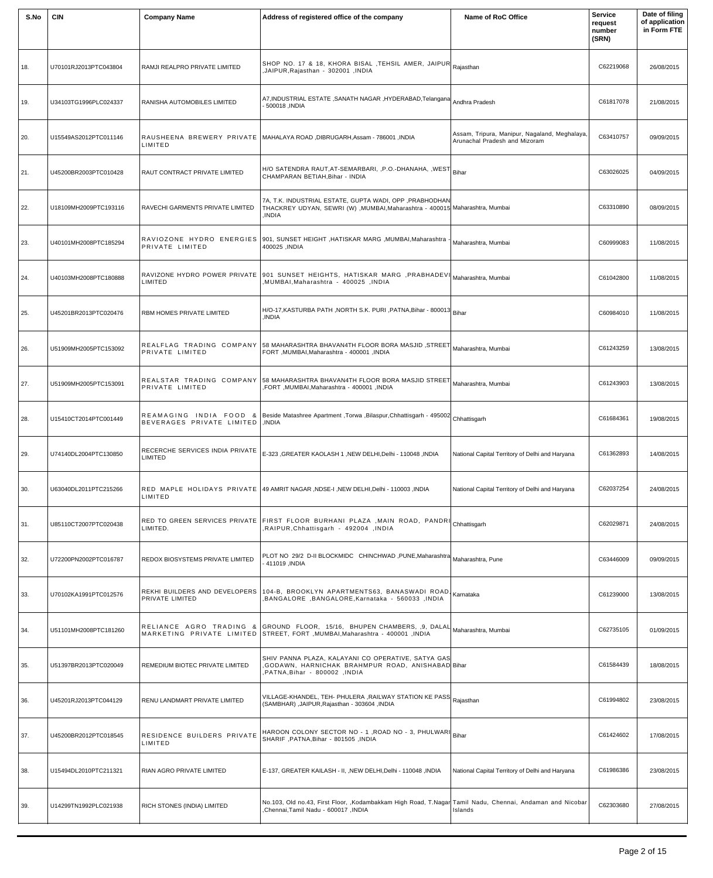| S.No | <b>CIN</b>            | <b>Company Name</b>                              | Address of registered office of the company                                                                                                                                         | Name of RoC Office                                                             | <b>Service</b><br>request<br>number<br>(SRN) | Date of filing<br>of application<br>in Form FTE |
|------|-----------------------|--------------------------------------------------|-------------------------------------------------------------------------------------------------------------------------------------------------------------------------------------|--------------------------------------------------------------------------------|----------------------------------------------|-------------------------------------------------|
| 18.  | U70101RJ2013PTC043804 | RAMJI REALPRO PRIVATE LIMITED                    | SHOP NO. 17 & 18, KHORA BISAL , TEHSIL AMER, JAIPUR Rajasthan<br>JAIPUR, Rajasthan - 302001, INDIA                                                                                  |                                                                                | C62219068                                    | 26/08/2015                                      |
| 19.  | U34103TG1996PLC024337 | RANISHA AUTOMOBILES LIMITED                      | A7, INDUSTRIAL ESTATE, SANATH NAGAR, HYDERABAD, Telangana<br>500018, INDIA                                                                                                          | Andhra Pradesh                                                                 | C61817078                                    | 21/08/2015                                      |
| 20.  | U15549AS2012PTC011146 | LIMITED                                          | RAUSHEENA BREWERY PRIVATE   MAHALAYA ROAD, DIBRUGARH, Assam - 786001, INDIA                                                                                                         | Assam, Tripura, Manipur, Nagaland, Meghalaya,<br>Arunachal Pradesh and Mizoram | C63410757                                    | 09/09/2015                                      |
| 21.  | U45200BR2003PTC010428 | RAUT CONTRACT PRIVATE LIMITED                    | H/O SATENDRA RAUT, AT-SEMARBARI, , P.O.-DHANAHA, , WEST<br>CHAMPARAN BETIAH, Bihar - INDIA                                                                                          | Bihar                                                                          | C63026025                                    | 04/09/2015                                      |
| 22.  | U18109MH2009PTC193116 | RAVECHI GARMENTS PRIVATE LIMITED                 | 7A, T.K. INDUSTRIAL ESTATE, GUPTA WADI, OPP , PRABHODHAN<br>THACKREY UDYAN, SEWRI (W), MUMBAI, Maharashtra - 400015 Maharashtra, Mumbai<br>INDIA.                                   |                                                                                | C63310890                                    | 08/09/2015                                      |
| 23.  | U40101MH2008PTC185294 | RAVIOZONE HYDRO ENERGIES<br>PRIVATE LIMITED      | 901, SUNSET HEIGHT ,HATISKAR MARG ,MUMBAI,Maharashtra<br>400025, INDIA                                                                                                              | Maharashtra, Mumbai                                                            | C60999083                                    | 11/08/2015                                      |
| 24.  | U40103MH2008PTC180888 | LIMITED                                          | RAVIZONE HYDRO POWER PRIVATE   901 SUNSET HEIGHTS, HATISKAR MARG, PRABHADEVI<br>MUMBAI, Maharashtra - 400025, INDIA                                                                 | Maharashtra, Mumbai                                                            | C61042800                                    | 11/08/2015                                      |
| 25.  | U45201BR2013PTC020476 | RBM HOMES PRIVATE LIMITED                        | H/O-17, KASTURBA PATH, NORTH S.K. PURI, PATNA, Bihar - 800013<br>INDIA.                                                                                                             | Bihar                                                                          | C60984010                                    | 11/08/2015                                      |
| 26.  | U51909MH2005PTC153092 | PRIVATE LIMITED                                  | REALFLAG TRADING COMPANY 58 MAHARASHTRA BHAVAN4TH FLOOR BORA MASJID ,STREET Maharashtra, Mumbai<br>FORT , MUMBAI, Maharashtra - 400001, INDIA                                       |                                                                                | C61243259                                    | 13/08/2015                                      |
| 27.  | U51909MH2005PTC153091 | PRIVATE LIMITED                                  | $\mid$ REALSTAR TRADING COMPANY $\mid$ 58 MAHARASHTRA BHAVAN4TH FLOOR BORA MASJID STREET $\mid$ Maharashtra, Mumbai<br>, FORT , MUMBAI, Maharashtra - 400001, INDIA                 |                                                                                | C61243903                                    | 13/08/2015                                      |
| 28.  | U15410CT2014PTC001449 | BEVERAGES PRIVATE LIMITED                        | REAMAGING INDIA FOOD & Beside Matashree Apartment ,Torwa ,Bilaspur,Chhattisgarh - 495002 Chhattisgarh<br>INDIA.                                                                     |                                                                                | C61684361                                    | 19/08/2015                                      |
| 29.  | U74140DL2004PTC130850 | RECERCHE SERVICES INDIA PRIVATE<br>LIMITED       | E-323 , GREATER KAOLASH 1 , NEW DELHI, Delhi - 110048 , INDIA                                                                                                                       | National Capital Territory of Delhi and Haryana                                | C61362893                                    | 14/08/2015                                      |
| 30.  | U63040DL2011PTC215266 | LIMITED                                          | RED MAPLE HOLIDAYS PRIVATE   49 AMRIT NAGAR, NDSE-I, NEW DELHI, Delhi - 110003, INDIA                                                                                               | National Capital Territory of Delhi and Haryana                                | C62037254                                    | 24/08/2015                                      |
| 31.  | U85110CT2007PTC020438 | LIMITED.                                         | RED TO GREEN SERVICES PRIVATE FIRST FLOOR BURHANI PLAZA ,MAIN ROAD, PANDRI Chhattisgarh<br>RAIPUR, Chhattisgarh - 492004, INDIA                                                     |                                                                                | C62029871                                    | 24/08/2015                                      |
| 32.  | U72200PN2002PTC016787 | REDOX BIOSYSTEMS PRIVATE LIMITED                 | PLOT NO 29/2 D-II BLOCKMIDC CHINCHWAD, PUNE, Maharashtra Maharashtra, Pune<br>411019, INDIA                                                                                         |                                                                                | C63446009                                    | 09/09/2015                                      |
| 33.  | U70102KA1991PTC012576 | REKHI BUILDERS AND DEVELOPERS<br>PRIVATE LIMITED | 104-B, BROOKLYN APARTMENTS63, BANASWADI ROAD, Karnataka<br>BANGALORE , BANGALORE, Karnataka - 560033, INDIA                                                                         |                                                                                | C61239000                                    | 13/08/2015                                      |
| 34.  | U51101MH2008PTC181260 |                                                  | RELIANCE AGRO TRADING & GROUND FLOOR, 15/16, BHUPEN CHAMBERS, 9, DALAL Maharashtra, Mumbai<br>AUGO01, INDIA - MARKETING PRIVATE LIMITED STREET, FORT , MUMBAI, Maharashtra - 400001 |                                                                                | C62735105                                    | 01/09/2015                                      |
| 35.  | U51397BR2013PTC020049 | REMEDIUM BIOTEC PRIVATE LIMITED                  | SHIV PANNA PLAZA, KALAYANI CO OPERATIVE, SATYA GAS<br>GODAWN, HARNICHAK BRAHMPUR ROAD, ANISHABAD Bihar<br>PATNA, Bihar - 800002, INDIA                                              |                                                                                | C61584439                                    | 18/08/2015                                      |
| 36.  | U45201RJ2013PTC044129 | RENU LANDMART PRIVATE LIMITED                    | VILLAGE-KHANDEL, TEH- PHULERA , RAILWAY STATION KE PASS Rajasthan<br>(SAMBHAR), JAIPUR, Rajasthan - 303604, INDIA                                                                   |                                                                                | C61994802                                    | 23/08/2015                                      |
| 37.  | U45200BR2012PTC018545 | RESIDENCE BUILDERS PRIVATE<br>LIMITED            | $\big $ HAROON COLONY SECTOR NO - 1 ,ROAD NO - 3, PHULWARI $\big _\text{Bihar}$<br>SHARIF, PATNA, Bihar - 801505, INDIA                                                             |                                                                                | C61424602                                    | 17/08/2015                                      |
| 38.  | U15494DL2010PTC211321 | RIAN AGRO PRIVATE LIMITED                        | E-137, GREATER KAILASH - II, , NEW DELHI, Delhi - 110048, INDIA                                                                                                                     | National Capital Territory of Delhi and Haryana                                | C61986386                                    | 23/08/2015                                      |
| 39.  | U14299TN1992PLC021938 | RICH STONES (INDIA) LIMITED                      | No.103, Old no.43, First Floor, , Kodambakkam High Road, T.Nagar<br>Chennai, Tamil Nadu - 600017, INDIA                                                                             | Tamil Nadu, Chennai, Andaman and Nicobar<br>Islands                            | C62303680                                    | 27/08/2015                                      |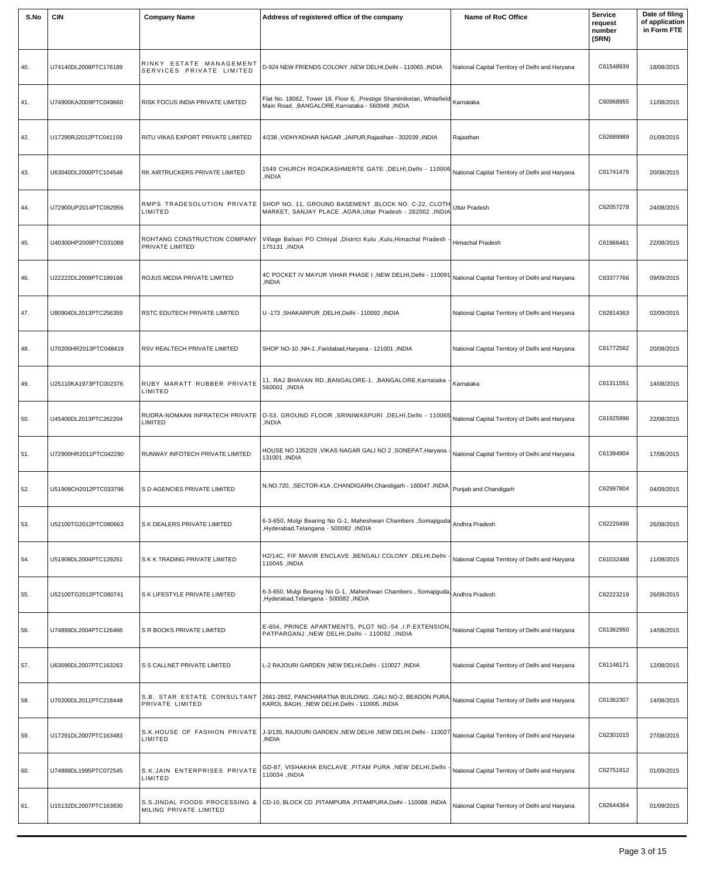| S.No | <b>CIN</b>            | <b>Company Name</b>                                 | Address of registered office of the company                                                                                                                 | Name of RoC Office                              | <b>Service</b><br>request<br>number<br>(SRN) | Date of filing<br>of application<br>in Form FTE |
|------|-----------------------|-----------------------------------------------------|-------------------------------------------------------------------------------------------------------------------------------------------------------------|-------------------------------------------------|----------------------------------------------|-------------------------------------------------|
| 40.  | U74140DL2008PTC176189 | RINKY ESTATE MANAGEMENT<br>SERVICES PRIVATE LIMITED | D-924 NEW FRIENDS COLONY , NEW DELHI, Delhi - 110065 , INDIA                                                                                                | National Capital Territory of Delhi and Haryana | C61548939                                    | 18/08/2015                                      |
| 41.  | U74900KA2009PTC049660 | RISK FOCUS INDIA PRIVATE LIMITED                    | Flat No. 18062, Tower 18, Floor 6, Prestige Shantiniketan, Whitefield Karnataka<br>Main Road, , BANGALORE, Karnataka - 560048, INDIA                        |                                                 | C60968955                                    | 11/08/2015                                      |
| 42.  | U17290RJ2012PTC041159 | RITU VIKAS EXPORT PRIVATE LIMITED                   | 4/238, VIDHYADHAR NAGAR, JAIPUR, Rajasthan - 302039, INDIA                                                                                                  | Rajasthan                                       | C62689989                                    | 01/09/2015                                      |
| 43.  | U63040DL2000PTC104548 | RK AIRTRUCKERS PRIVATE LIMITED                      | 1549 CHURCH ROADKASHMERTE GATE ,DELHI,Delhi - 110006 National Capital Territory of Delhi and Haryana<br>INDIA                                               |                                                 | C61741476                                    | 20/08/2015                                      |
| 44.  | U72900UP2014PTC062956 | LIMITED                                             | RMPS TRADESOLUTION PRIVATE SHOP NO. 11, GROUND BASEMENT BLOCK NO. C-22, CLOTH Uttar Pradesh<br>MARKET, SANJAY PLACE , AGRA, Uttar Pradesh - 282002 , INDIA  |                                                 | C62057278                                    | 24/08/2015                                      |
| 45.  | U40300HP2009PTC031088 | ROHTANG CONSTRUCTION COMPANY<br>PRIVATE LIMITED     | Village Balsari PO Chhiyal , District Kulu , Kulu, Himachal Pradesh<br>175131, INDIA                                                                        | Himachal Pradesh                                | C61966461                                    | 22/08/2015                                      |
| 46.  | U22222DL2009PTC189168 | ROJUS MEDIA PRIVATE LIMITED                         | 4C POCKET IV MAYUR VIHAR PHASE I , NEW DELHI, Delhi - 110091<br>INDIA,                                                                                      | National Capital Territory of Delhi and Haryana | C63377766                                    | 09/09/2015                                      |
| 47.  | U80904DL2013PTC256359 | RSTC EDUTECH PRIVATE LIMITED                        | U-173, SHAKARPUR, DELHI, Delhi - 110092, INDIA                                                                                                              | National Capital Territory of Delhi and Haryana | C62814363                                    | 02/09/2015                                      |
| 48.  | U70200HR2013PTC048419 | RSV REALTECH PRIVATE LIMITED                        | SHOP NO-10, NH-1, Faridabad, Haryana - 121001, INDIA                                                                                                        | National Capital Territory of Delhi and Haryana | C61772562                                    | 20/08/2015                                      |
| 49.  | U25110KA1973PTC002376 | RUBY MARATT RUBBER PRIVATE<br>LIMITED               | 11, RAJ BHAVAN RD., BANGALORE-1., BANGALORE, Karnataka - Karnataka<br>560001, INDIA                                                                         |                                                 | C61311551                                    | 14/08/2015                                      |
| 50.  | U45400DL2013PTC262204 | RUDRA-NOMAAN INFRATECH PRIVATE<br>LIMITED           | O-53, GROUND FLOOR ,SRINIWASPURI ,DELHI,Delhi - 110065 National Capital Territory of Delhi and Haryana<br><b>INDIA</b>                                      |                                                 | C61925996                                    | 22/08/2015                                      |
| 51.  | U72900HR2011PTC042290 | RUNWAY INFOTECH PRIVATE LIMITED                     | HOUSE NO 1352/29, VIKAS NAGAR GALI NO 2, SONEPAT, Haryana<br>131001 , INDIA                                                                                 | National Capital Territory of Delhi and Haryana | C61394904                                    | 17/08/2015                                      |
| 52.  | U51909CH2012PTC033796 | S D AGENCIES PRIVATE LIMITED                        | N.NO.720, SECTOR-41A , CHANDIGARH, Chandigarh - 160047 , INDIA   Punjab and Chandigarh                                                                      |                                                 | C62997804                                    | 04/09/2015                                      |
| 53.  | U52100TG2012PTC080663 | S K DEALERS PRIVATE LIMITED                         | 6-3-650, Mulgi Bearing No G-1, Maheshwari Chambers , Somajiguda Andhra Pradesh<br>Hyderabad,Telangana - 500082,INDIA                                        |                                                 | C62220496                                    | 26/08/2015                                      |
| 54.  | U51909DL2004PTC129251 | S K K TRADING PRIVATE LIMITED                       | H2/14C, F/F MAVIR ENCLAVE , BENGALI COLONY , DELHI, Delhi<br>110045 , INDIA                                                                                 | National Capital Territory of Delhi and Haryana | C61032488                                    | 11/08/2015                                      |
| 55.  | U52100TG2012PTC080741 | S K LIFESTYLE PRIVATE LIMITED                       | 6-3-650, Mulgi Bearing No G-1, , Maheshwari Chambers, Somajiguda, Andhra Pradesh<br>Hyderabad, Telangana - 500082, INDIA                                    |                                                 | C62223219                                    | 26/08/2015                                      |
| 56.  | U74899DL2004PTC126466 | S R BOOKS PRIVATE LIMITED                           | E-604, PRINCE APARTMENTS, PLOT NO.-54 , I.P.EXTENSION National Capital Territory of Delhi and Haryana<br>PATPARGANJ, NEW DELHI, Delhi - 110092, INDIA       |                                                 | C61362950                                    | 14/08/2015                                      |
| 57.  | U63090DL2007PTC163263 | S S CALLNET PRIVATE LIMITED                         | L-2 RAJOURI GARDEN, NEW DELHI, Delhi - 110027, INDIA                                                                                                        | National Capital Territory of Delhi and Haryana | C61146171                                    | 12/08/2015                                      |
| 58.  | U70200DL2011PTC218448 | S.B. STAR ESTATE CONSULTANT<br>PRIVATE LIMITED      | 2661-2662, PANCHARATNA BUILDING, ,GALI NO-2, BEADON PURA. National Capital Territory of Delhi and Haryana<br>KAROL BAGH, , NEW DELHI, Delhi - 110005, INDIA |                                                 | C61362307                                    | 14/08/2015                                      |
| 59.  | U17291DL2007PTC163483 | S.K.HOUSE OF FASHION PRIVATE<br>LIMITED             | J-3/135, RAJOURI GARDEN ,NEW DELHI ,NEW DELHI,Delhi - 110027 National Capital Territory of Delhi and Haryana<br>,INDIA                                      |                                                 | C62301015                                    | 27/08/2015                                      |
| 60.  | U74899DL1995PTC072545 | S.K.JAIN ENTERPRISES PRIVATE<br>LIMITED             | GD-87, VISHAKHA ENCLAVE , PITAM PURA , NEW DELHI, Delhi<br>110034, INDIA                                                                                    | National Capital Territory of Delhi and Haryana | C62751912                                    | 01/09/2015                                      |
| 61.  | U15132DL2007PTC163830 | MILING PRIVATE LIMITED                              | S.S.JINDAL FOODS PROCESSING & CD-10, BLOCK CD, PITAMPURA, PITAMPURA, Delhi - 110088, INDIA                                                                  | National Capital Territory of Delhi and Haryana | C62644364                                    | 01/09/2015                                      |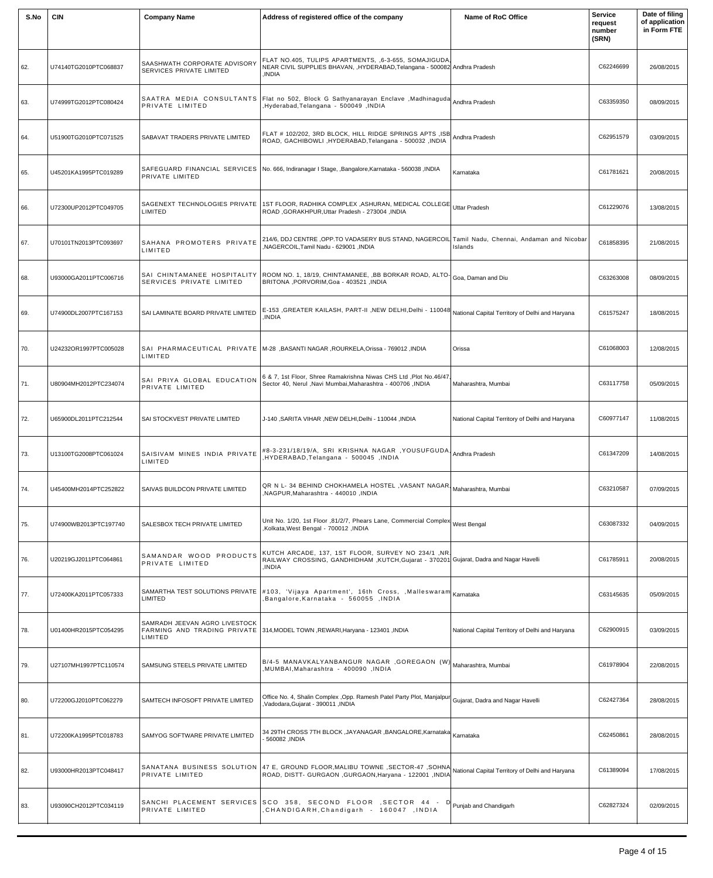| S.No | <b>CIN</b>            | <b>Company Name</b>                                      | Address of registered office of the company                                                                                                                                            | Name of RoC Office                              | <b>Service</b><br>request<br>number<br>(SRN) | Date of filing<br>of application<br>in Form FTE |
|------|-----------------------|----------------------------------------------------------|----------------------------------------------------------------------------------------------------------------------------------------------------------------------------------------|-------------------------------------------------|----------------------------------------------|-------------------------------------------------|
| 62.  | U74140TG2010PTC068837 | SAASHWATH CORPORATE ADVISORY<br>SERVICES PRIVATE LIMITED | FLAT NO.405, TULIPS APARTMENTS, 6-3-655, SOMAJIGUDA,<br>NEAR CIVIL SUPPLIES BHAVAN, , HYDERABAD, Telangana - 500082 Andhra Pradesh<br><b>INDIA</b>                                     |                                                 | C62246699                                    | 26/08/2015                                      |
| 63.  | U74999TG2012PTC080424 | PRIVATE LIMITED                                          | SAATRA MEDIA CONSULTANTS Flat no 502, Block G Sathyanarayan Enclave ,Madhinaguda Andhra Pradesh<br>Hyderabad, Telangana - 500049, INDIA                                                |                                                 | C63359350                                    | 08/09/2015                                      |
| 64.  | U51900TG2010PTC071525 | SABAVAT TRADERS PRIVATE LIMITED                          | FLAT # 102/202, 3RD BLOCK, HILL RIDGE SPRINGS APTS, ISB<br>ROAD, GACHIBOWLI, HYDERABAD, Telangana - 500032, INDIA                                                                      | Andhra Pradesh                                  | C62951579                                    | 03/09/2015                                      |
| 65.  | U45201KA1995PTC019289 | PRIVATE LIMITED                                          | SAFEGUARD FINANCIAL SERVICES   No. 666, Indiranagar I Stage, ,Bangalore,Karnataka - 560038 ,INDIA                                                                                      | Karnataka                                       | C61781621                                    | 20/08/2015                                      |
| 66.  | U72300UP2012PTC049705 | SAGENEXT TECHNOLOGIES PRIVATE<br>LIMITED                 | 1ST FLOOR, RADHIKA COMPLEX ,ASHURAN, MEDICAL COLLEGE Uttar Pradesh<br>ROAD, GORAKHPUR, Uttar Pradesh - 273004, INDIA                                                                   |                                                 | C61229076                                    | 13/08/2015                                      |
| 67.  | U70101TN2013PTC093697 | SAHANA PROMOTERS PRIVATE<br>LIMITED                      | 214/6, DDJ CENTRE ,OPP.TO VADASERY BUS STAND, NAGERCOIL Tamil Nadu, Chennai, Andaman and Nicobar<br>NAGERCOIL, Tamil Nadu - 629001, INDIA                                              | Islands                                         | C61858395                                    | 21/08/2015                                      |
| 68.  | U93000GA2011PTC006716 | SERVICES PRIVATE LIMITED                                 | SAI CHINTAMANEE HOSPITALITY ROOM NO. 1, 18/19, CHINTAMANEE, ,BB BORKAR ROAD, ALTO- $ _{\rm{Goa, Daman and Diu}}$<br>BRITONA , PORVORIM, Goa - 403521, INDIA                            |                                                 | C63263008                                    | 08/09/2015                                      |
| 69.  | U74900DL2007PTC167153 | SAI LAMINATE BOARD PRIVATE LIMITED                       | E-153 , GREATER KAILASH, PART-II , NEW DELHI, Delhi - 110048 National Capital Territory of Delhi and Haryana<br>INDIA.                                                                 |                                                 | C61575247                                    | 18/08/2015                                      |
| 70.  | U24232OR1997PTC005028 | LIMITED                                                  | SAI PHARMACEUTICAL PRIVATE M-28 , BASANTI NAGAR , ROURKELA, Orissa - 769012 , INDIA                                                                                                    | Orissa                                          | C61068003                                    | 12/08/2015                                      |
| 71.  | U80904MH2012PTC234074 | SAI PRIYA GLOBAL EDUCATION<br>PRIVATE LIMITED            | 6 & 7, 1st Floor, Shree Ramakrishna Niwas CHS Ltd, Plot No.46/47,<br>Sector 40, Nerul , Navi Mumbai, Maharashtra - 400706, INDIA                                                       | Maharashtra, Mumbai                             | C63117758                                    | 05/09/2015                                      |
| 72.  | U65900DL2011PTC212544 | SAI STOCKVEST PRIVATE LIMITED                            | J-140, SARITA VIHAR, NEW DELHI, Delhi - 110044, INDIA                                                                                                                                  | National Capital Territory of Delhi and Haryana | C60977147                                    | 11/08/2015                                      |
| 73.  | U13100TG2008PTC061024 | SAISIVAM MINES INDIA PRIVATE<br>LIMITED                  | #8-3-231/18/19/A, SRI KRISHNA NAGAR ,YOUSUFGUDA, Andhra Pradesh<br>HYDERABAD, Telangana - 500045, INDIA                                                                                |                                                 | C61347209                                    | 14/08/2015                                      |
| 74.  | U45400MH2014PTC252822 | SAIVAS BUILDCON PRIVATE LIMITED                          | QR N L- 34 BEHIND CHOKHAMELA HOSTEL , VASANT NAGAR   Maharashtra, Mumbai<br>NAGPUR, Maharashtra - 440010, INDIA                                                                        |                                                 | C63210587                                    | 07/09/2015                                      |
| 75.  | U74900WB2013PTC197740 | SALESBOX TECH PRIVATE LIMITED                            | Unit No. 1/20, 1st Floor ,81/2/7, Phears Lane, Commercial Complex West Bengal<br>Kolkata, West Bengal - 700012, INDIA                                                                  |                                                 | C63087332                                    | 04/09/2015                                      |
| 76.  | U20219GJ2011PTC064861 | SAMANDAR WOOD PRODUCTS<br>PRIVATE LIMITED                | KUTCH ARCADE, 137, 1ST FLOOR, SURVEY NO 234/1, NR.<br>RAILWAY CROSSING, GANDHIDHAM, KUTCH, Gujarat - 370201 Gujarat, Dadra and Nagar Havelli<br>INDIA.                                 |                                                 | C61785911                                    | 20/08/2015                                      |
| 77.  | U72400KA2011PTC057333 | SAMARTHA TEST SOLUTIONS PRIVATE<br>LIMITED               | #103, 'Vijaya Apartment', 16th Cross, ,Malleswaram Karnataka<br>Bangalore, Karnataka - 560055 , INDIA                                                                                  |                                                 | C63145635                                    | 05/09/2015                                      |
| 78.  | U01400HR2015PTC054295 | SAMRADH JEEVAN AGRO LIVESTOCK<br>LIMITED                 | FARMING AND TRADING PRIVATE 314, MODEL TOWN, REWARI, Haryana - 123401, INDIA                                                                                                           | National Capital Territory of Delhi and Haryana | C62900915                                    | 03/09/2015                                      |
| 79.  | U27107MH1997PTC110574 | SAMSUNG STEELS PRIVATE LIMITED                           | B/4-5 MANAVKALYANBANGUR NAGAR ,GOREGAON (W) Maharashtra, Mumbai<br>NUMBAI, Maharashtra - 400090, INDIA                                                                                 |                                                 | C61978904                                    | 22/08/2015                                      |
| 80.  | U72200GJ2010PTC062279 | SAMTECH INFOSOFT PRIVATE LIMITED                         | Office No. 4, Shalin Complex , Opp. Ramesh Patel Party Plot, Manjalpur Gujarat, Dadra and Nagar Havelli<br>Vadodara, Gujarat - 390011, INDIA                                           |                                                 | C62427364                                    | 28/08/2015                                      |
| 81.  | U72200KA1995PTC018783 | SAMYOG SOFTWARE PRIVATE LIMITED                          | 34 29TH CROSS 7TH BLOCK , JAYANAGAR , BANGALORE, Karnataka Karnataka<br>- 560082, INDIA                                                                                                |                                                 | C62450861                                    | 28/08/2015                                      |
| 82.  | U93000HR2013PTC048417 | PRIVATE LIMITED                                          | SANATANA BUSINESS SOLUTION 47 E, GROUND FLOOR,MALIBU TOWNE ,SECTOR-47 ,SOHNA National Capital Territory of Delhi and Haryana<br>ROAD, DISTT- GURGAON, GURGAON, Haryana - 122001, INDIA |                                                 | C61389094                                    | 17/08/2015                                      |
| 83.  | U93090CH2012PTC034119 | PRIVATE LIMITED                                          | SANCHI PLACEMENT SERVICES SCO 358, SECOND FLOOR , SECTOR 44 P Punjab and Chandigarh<br>CHANDIGARH.Chandigarh - 160047 .INDIA                                                           |                                                 | C62827324                                    | 02/09/2015                                      |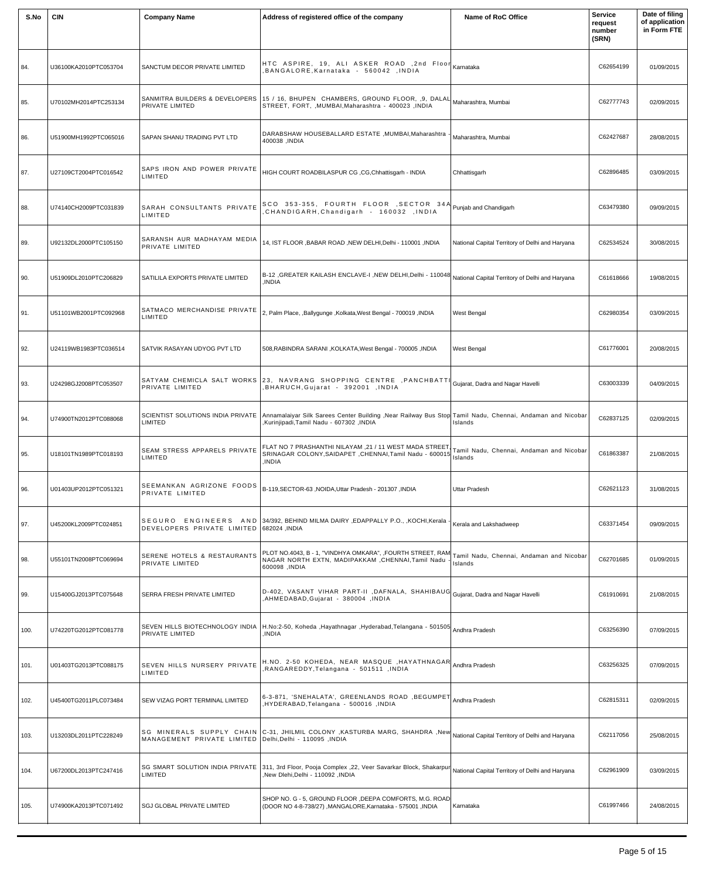| S.No | <b>CIN</b>            | <b>Company Name</b>                                     | Address of registered office of the company                                                                                                                | Name of RoC Office                                  | <b>Service</b><br>request<br>number<br>(SRN) | Date of filing<br>of application<br>in Form FTE |
|------|-----------------------|---------------------------------------------------------|------------------------------------------------------------------------------------------------------------------------------------------------------------|-----------------------------------------------------|----------------------------------------------|-------------------------------------------------|
| 84.  | U36100KA2010PTC053704 | SANCTUM DECOR PRIVATE LIMITED                           | HTC ASPIRE, 19, ALI ASKER ROAD ,2nd Floor Kamataka<br>BANGALORE, Karnataka - 560042, INDIA                                                                 |                                                     | C62654199                                    | 01/09/2015                                      |
| 85.  | U70102MH2014PTC253134 | SANMITRA BUILDERS & DEVELOPERS<br>PRIVATE LIMITED       | 15 / 16, BHUPEN CHAMBERS, GROUND FLOOR, 9, DALAL Maharashtra, Mumbai<br>STREET, FORT, , MUMBAI, Maharashtra - 400023, INDIA                                |                                                     | C62777743                                    | 02/09/2015                                      |
| 86.  | U51900MH1992PTC065016 | SAPAN SHANU TRADING PVT LTD                             | DARABSHAW HOUSEBALLARD ESTATE , MUMBAI, Maharashtra<br>400038, INDIA                                                                                       | Maharashtra, Mumbai                                 | C62427687                                    | 28/08/2015                                      |
| 87.  | U27109CT2004PTC016542 | SAPS IRON AND POWER PRIVATE<br>LIMITED                  | HIGH COURT ROADBILASPUR CG, CG, Chhattisgarh - INDIA                                                                                                       | Chhattisgarh                                        | C62896485                                    | 03/09/2015                                      |
| 88.  | U74140CH2009PTC031839 | SARAH CONSULTANTS PRIVATE<br>LIMITED                    | SCO 353-355, FOURTH FLOOR, SECTOR 34A Punjab and Chandigarh<br>CHANDIGARH, Chandigarh - 160032, INDIA                                                      |                                                     | C63479380                                    | 09/09/2015                                      |
| 89.  | U92132DL2000PTC105150 | SARANSH AUR MADHAYAM MEDIA<br>PRIVATE LIMITED           | 14, IST FLOOR , BABAR ROAD , NEW DELHI, Delhi - 110001 , INDIA                                                                                             | National Capital Territory of Delhi and Haryana     | C62534524                                    | 30/08/2015                                      |
| 90.  | U51909DL2010PTC206829 | SATILILA EXPORTS PRIVATE LIMITED                        | B-12 , GREATER KAILASH ENCLAVE-I , NEW DELHI, Delhi - 110048<br>,INDIA                                                                                     | National Capital Territory of Delhi and Haryana     | C61618666                                    | 19/08/2015                                      |
| 91.  | U51101WB2001PTC092968 | SATMACO MERCHANDISE PRIVATE<br>LIMITED                  | 2, Palm Place, ,Ballygunge ,Kolkata,West Bengal - 700019,INDIA                                                                                             | West Bengal                                         | C62980354                                    | 03/09/2015                                      |
| 92.  | U24119WB1983PTC036514 | SATVIK RASAYAN UDYOG PVT LTD                            | 508, RABINDRA SARANI, KOLKATA, West Bengal - 700005, INDIA                                                                                                 | West Bengal                                         | C61776001                                    | 20/08/2015                                      |
| 93.  | U24298GJ2008PTC053507 | PRIVATE LIMITED                                         | SATYAM CHEMICLA SALT WORKS 23, NAVRANG SHOPPING CENTRE , PANCHBATTI<br>BHARUCH, Gujarat - 392001, INDIA                                                    | Gujarat, Dadra and Nagar Havelli                    | C63003339                                    | 04/09/2015                                      |
| 94.  | U74900TN2012PTC088068 | SCIENTIST SOLUTIONS INDIA PRIVATE<br>LIMITED            | Annamalaiyar Silk Sarees Center Building , Near Railway Bus Stop Tamil Nadu, Chennai, Andaman and Nicobar<br><b>Kurinjipadi,Tamil Nadu - 607302 ,INDIA</b> | Islands                                             | C62837125                                    | 02/09/2015                                      |
| 95.  | U18101TN1989PTC018193 | SEAM STRESS APPARELS PRIVATE<br>LIMITED                 | FLAT NO 7 PRASHANTHI NILAYAM ,21 / 11 WEST MADA STREET<br>SRINAGAR COLONY, SAIDAPET, CHENNAI, Tamil Nadu - 600015<br>INDIA.                                | Tamil Nadu, Chennai, Andaman and Nicobar<br>Islands | C61863387                                    | 21/08/2015                                      |
| 96.  | U01403UP2012PTC051321 | SEEMANKAN AGRIZONE FOODS<br>PRIVATE LIMITED             | B-119, SECTOR-63, NOIDA, Uttar Pradesh - 201307, INDIA                                                                                                     | <b>Uttar Pradesh</b>                                | C62621123                                    | 31/08/2015                                      |
| 97.  | U45200KL2009PTC024851 | SEGURO ENGINEERS AND<br>DEVELOPERS PRIVATE LIMITED      | 34/392, BEHIND MILMA DAIRY , EDAPPALLY P.O., , KOCHI, Kerala<br>682024, INDIA                                                                              | Kerala and Lakshadweep                              | C63371454                                    | 09/09/2015                                      |
| 98.  | U55101TN2008PTC069694 | SERENE HOTELS & RESTAURANTS<br>PRIVATE LIMITED          | PLOT NO.4043, B - 1, "VINDHYA OMKARA", ,FOURTH STREET, RAM<br>NAGAR NORTH EXTN, MADIPAKKAM , CHENNAI, Tamil Nadu<br>600098, INDIA                          | Tamil Nadu, Chennai, Andaman and Nicobar<br>Islands | C62701685                                    | 01/09/2015                                      |
| 99.  | U15400GJ2013PTC075648 | SERRA FRESH PRIVATE LIMITED                             | D-402, VASANT VIHAR PART-II ,DAFNALA, SHAHIBAUG Gujarat, Dadra and Nagar Havelli<br>AHMEDABAD, Gujarat - 380004, INDIA                                     |                                                     | C61910691                                    | 21/08/2015                                      |
| 100. | U74220TG2012PTC081778 | PRIVATE LIMITED                                         | SEVEN HILLS BIOTECHNOLOGY INDIA   H.No:2-50, Koheda ,Hayathnagar ,Hyderabad,Telangana - 501505<br>INDIA                                                    | Andhra Pradesh                                      | C63256390                                    | 07/09/2015                                      |
| 101. | U01403TG2013PTC088175 | SEVEN HILLS NURSERY PRIVATE<br>LIMITED                  | H.NO. 2-50 KOHEDA, NEAR MASQUE ,HAYATHNAGAR Andhra Pradesh<br>RANGAREDDY, Telangana - 501511, INDIA                                                        |                                                     | C63256325                                    | 07/09/2015                                      |
| 102. | U45400TG2011PLC073484 | SEW VIZAG PORT TERMINAL LIMITED                         | 6-3-871, 'SNEHALATA', GREENLANDS ROAD , BEGUMPET<br>HYDERABAD, Telangana - 500016, INDIA                                                                   | Andhra Pradesh                                      | C62815311                                    | 02/09/2015                                      |
| 103. | U13203DL2011PTC228249 | MANAGEMENT PRIVATE LIMITED Delhi, Delhi - 110095, INDIA | SG MINERALS SUPPLY CHAIN C-31, JHILMIL COLONY ,KASTURBA MARG, SHAHDRA ,New National Capital Territory of Delhi and Haryana                                 |                                                     | C62117056                                    | 25/08/2015                                      |
| 104. | U67200DL2013PTC247416 | LIMITED                                                 | SG SMART SOLUTION INDIA PRIVATE 311, 3rd Floor, Pooja Complex ,22, Veer Savarkar Block, Shakarpur<br>New Dlehi, Delhi - 110092, INDIA                      | National Capital Territory of Delhi and Haryana     | C62961909                                    | 03/09/2015                                      |
| 105. | U74900KA2013PTC071492 | <b>SGJ GLOBAL PRIVATE LIMITED</b>                       | SHOP NO. G - 5, GROUND FLOOR, DEEPA COMFORTS, M.G. ROAD<br>(DOOR NO 4-8-738/27) ,MANGALORE,Karnataka - 575001, INDIA                                       | Karnataka                                           | C61997466                                    | 24/08/2015                                      |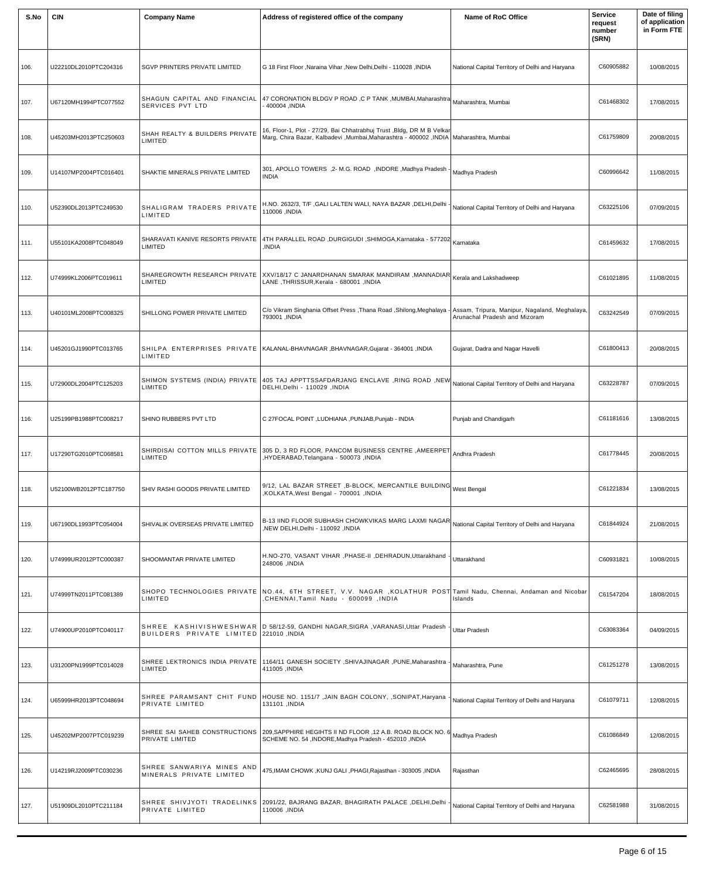| S.No | <b>CIN</b>            | <b>Company Name</b>                                   | Address of registered office of the company                                                                                                                           | Name of RoC Office                                                             | <b>Service</b><br>request<br>number<br>(SRN) | Date of filing<br>of application<br>in Form FTE |
|------|-----------------------|-------------------------------------------------------|-----------------------------------------------------------------------------------------------------------------------------------------------------------------------|--------------------------------------------------------------------------------|----------------------------------------------|-------------------------------------------------|
| 106. | U22210DL2010PTC204316 | <b>SGVP PRINTERS PRIVATE LIMITED</b>                  | G 18 First Floor , Naraina Vihar , New Delhi, Delhi - 110028, INDIA                                                                                                   | National Capital Territory of Delhi and Haryana                                | C60905882                                    | 10/08/2015                                      |
| 107. | U67120MH1994PTC077552 | SHAGUN CAPITAL AND FINANCIAL<br>SERVICES PVT LTD      | 47 CORONATION BLDGV P ROAD ,C P TANK ,MUMBAI,Maharashtra Maharashtra, Mumbai<br>AIO004 ,INDIA                                                                         |                                                                                | C61468302                                    | 17/08/2015                                      |
| 108. | U45203MH2013PTC250603 | SHAH REALTY & BUILDERS PRIVATE<br>LIMITED             | 16, Floor-1, Plot - 27/29, Bai Chhatrabhuj Trust ,Bldg, DR M B Velkar<br>Marg, Chira Bazar, Kalbadevi ,Mumbai,Maharashtra - 400002 ,INDIA   Maharashtra, Mumbai       |                                                                                | C61759809                                    | 20/08/2015                                      |
| 109. | U14107MP2004PTC016401 | SHAKTIE MINERALS PRIVATE LIMITED                      | 301, APOLLO TOWERS ,2- M.G. ROAD ,INDORE ,Madhya Pradesh<br><b>INDIA</b>                                                                                              | Madhya Pradesh                                                                 | C60996642                                    | 11/08/2015                                      |
| 110. | U52390DL2013PTC249530 | SHALIGRAM TRADERS PRIVATE<br>LIMITED                  | H.NO. 2632/3, T/F ,GALI LALTEN WALI, NAYA BAZAR ,DELHI,Delhi .<br>110006, INDIA                                                                                       | National Capital Territory of Delhi and Haryana                                | C63225106                                    | 07/09/2015                                      |
| 111. | U55101KA2008PTC048049 | SHARAVATI KANIVE RESORTS PRIVATE<br>LIMITED           | 4TH PARALLEL ROAD ,DURGIGUDI ,SHIMOGA,Karnataka - 577202 Karnataka<br><b>INDIA</b>                                                                                    |                                                                                | C61459632                                    | 17/08/2015                                      |
| 112. | U74999KL2006PTC019611 | LIMITED                                               | SHAREGROWTH RESEARCH PRIVATE XXV/18/17 C JANARDHANAN SMARAK MANDIRAM ,MANNADIAR Kerala and Lakshadweep<br>LANE, THRISSUR, Kerala - 680001, INDIA                      |                                                                                | C61021895                                    | 11/08/2015                                      |
| 113. | U40101ML2008PTC008325 | SHILLONG POWER PRIVATE LIMITED                        | C/o Vikram Singhania Offset Press, Thana Road, Shilong, Meghalaya -<br>793001, INDIA                                                                                  | Assam, Tripura, Manipur, Nagaland, Meghalaya,<br>Arunachal Pradesh and Mizoram | C63242549                                    | 07/09/2015                                      |
| 114. | U45201GJ1990PTC013765 | LIMITED                                               | SHILPA ENTERPRISES PRIVATE   KALANAL-BHAVNAGAR, BHAVNAGAR, Gujarat - 364001, INDIA                                                                                    | Gujarat, Dadra and Nagar Havelli                                               | C61800413                                    | 20/08/2015                                      |
| 115. | U72900DL2004PTC125203 | LIMITED                                               | SHIMON_SYSTEMS_(INDIA)_PRIVATE  405_TAJ_APPTTSSAFDARJANG_ENCLAVE_,RING_ROAD_,NEW  <sub>National</sub> Capital Territory of Delhi and Haryana<br>INDIA - 110029 ,INDIA |                                                                                | C63228787                                    | 07/09/2015                                      |
| 116. | U25199PB1988PTC008217 | SHINO RUBBERS PVT LTD                                 | C 27FOCAL POINT ,LUDHIANA ,PUNJAB,Punjab - INDIA                                                                                                                      | Punjab and Chandigarh                                                          | C61181616                                    | 13/08/2015                                      |
| 117. | U17290TG2010PTC068581 | LIMITED                                               | SHIRDISAI COTTON MILLS PRIVATE 305 D, 3 RD FLOOR, PANCOM BUSINESS CENTRE ,AMEERPET Andhra Pradesh<br>HYDERABAD, Telangana - 500073, INDIA                             |                                                                                | C61778445                                    | 20/08/2015                                      |
| 118. | U52100WB2012PTC187750 | SHIV RASHI GOODS PRIVATE LIMITED                      | 9/12, LAL BAZAR STREET ,B-BLOCK, MERCANTILE BUILDING West Bengal<br><b>KOLKATA, West Bengal - 700001, INDIA</b>                                                       |                                                                                | C61221834                                    | 13/08/2015                                      |
| 119. | U67190DL1993PTC054004 | SHIVALIK OVERSEAS PRIVATE LIMITED                     | $\vert$ B-13 IIND FLOOR SUBHASH CHOWKVIKAS MARG LAXMI NAGAR $\vert$ National Capital Territory of Delhi and Haryana<br>INDIA, NEW DELHI, Delhi - 110092.              |                                                                                | C61844924                                    | 21/08/2015                                      |
| 120. | U74999UR2012PTC000387 | SHOOMANTAR PRIVATE LIMITED                            | H.NO-270, VASANT VIHAR , PHASE-II , DEHRADUN, Uttarakhand -<br>248006, INDIA                                                                                          | Uttarakhand                                                                    | C60931821                                    | 10/08/2015                                      |
| 121. | U74999TN2011PTC081389 | LIMITED                                               | SHOPO TECHNOLOGIES PRIVATE NO.44, 6TH STREET, V.V. NAGAR , KOLATHUR POST Tamil Nadu, Chennai, Andaman and Nicobar<br>CHENNAI, Tamil Nadu - 600099, INDIA              | Islands                                                                        | C61547204                                    | 18/08/2015                                      |
| 122. | U74900UP2010PTC040117 | BUILDERS PRIVATE LIMITED 221010, INDIA                | SHREE KASHIVISHWESHWAR   D 58/12-59, GANDHI NAGAR, SIGRA, VARANASI, Uttar Pradesh                                                                                     | <b>Uttar Pradesh</b>                                                           | C63083364                                    | 04/09/2015                                      |
| 123. | U31200PN1999PTC014028 | SHREE LEKTRONICS INDIA PRIVATE<br>LIMITED             | 1164/11 GANESH SOCIETY , SHIVAJINAGAR , PUNE, Maharashtra -<br>411005, INDIA                                                                                          | Maharashtra, Pune                                                              | C61251278                                    | 13/08/2015                                      |
| 124. | U65999HR2013PTC048694 | PRIVATE LIMITED                                       | SHREE PARAMSANT CHIT FUND  HOUSE NO. 1151/7 ,JAIN BAGH COLONY, ,SONIPAT, Haryana<br>131101, INDIA                                                                     | National Capital Territory of Delhi and Haryana                                | C61079711                                    | 12/08/2015                                      |
| 125. | U45202MP2007PTC019239 | SHREE SAI SAHEB CONSTRUCTIONS<br>PRIVATE LIMITED      | 209, SAPPHIRE HEGIHTS II ND FLOOR , 12 A.B. ROAD BLOCK NO. 6 Madhya Pradesh<br>SCHEME NO. 54, INDORE, Madhya Pradesh - 452010, INDIA                                  |                                                                                | C61086849                                    | 12/08/2015                                      |
| 126. | U14219RJ2009PTC030236 | SHREE SANWARIYA MINES AND<br>MINERALS PRIVATE LIMITED | 475, IMAM CHOWK, KUNJ GALI, PHAGI, Rajasthan - 303005, INDIA                                                                                                          | Rajasthan                                                                      | C62465695                                    | 28/08/2015                                      |
| 127. | U51909DL2010PTC211184 | PRIVATE LIMITED                                       | SHREE SHIVJYOTI TRADELINKS 2091/22, BAJRANG BAZAR, BHAGIRATH PALACE, DELHI, Delhi<br>110006, INDIA                                                                    | National Capital Territory of Delhi and Haryana                                | C62581988                                    | 31/08/2015                                      |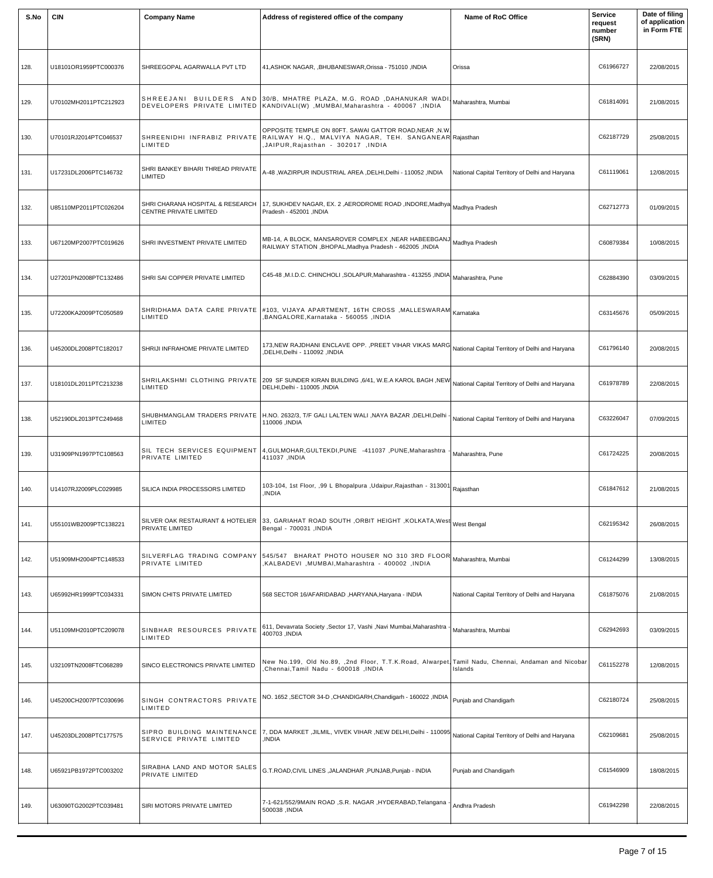| S.No | <b>CIN</b>            | <b>Company Name</b>                                               | Address of registered office of the company                                                                                                                                      | Name of RoC Office                              | <b>Service</b><br>request<br>number<br>(SRN) | Date of filing<br>of application<br>in Form FTE |
|------|-----------------------|-------------------------------------------------------------------|----------------------------------------------------------------------------------------------------------------------------------------------------------------------------------|-------------------------------------------------|----------------------------------------------|-------------------------------------------------|
| 128. | U18101OR1959PTC000376 | SHREEGOPAL AGARWALLA PVT LTD                                      | 41, ASHOK NAGAR, BHUBANESWAR, Orissa - 751010, INDIA                                                                                                                             | Orissa                                          | C61966727                                    | 22/08/2015                                      |
| 129. | U70102MH2011PTC212923 |                                                                   | SHREEJANI BUILDERS AND 30/B, MHATRE PLAZA, M.G. ROAD ,DAHANUKAR WADI, Maharashtra, Mumbai<br>NDIA, NUMBAI, Maharashtra - 400067, DEVELOPERS PRIVATE LIMITED KANDIVALI(W),        |                                                 | C61814091                                    | 21/08/2015                                      |
| 130. | U70101RJ2014PTC046537 | LIMITED                                                           | OPPOSITE TEMPLE ON 80FT. SAWAI GATTOR ROAD, NEAR, N.W.<br>SHREENIDHI INFRABIZ PRIVATE RAILWAY H.Q., MALVIYA NAGAR, TEH. SANGANEAR Rajasthan<br>,JAIPUR,Rajasthan - 302017 ,INDIA |                                                 | C62187729                                    | 25/08/2015                                      |
| 131. | U17231DL2006PTC146732 | SHRI BANKEY BIHARI THREAD PRIVATE<br>LIMITED                      | A-48, WAZIRPUR INDUSTRIAL AREA, DELHI, Delhi - 110052, INDIA                                                                                                                     | National Capital Territory of Delhi and Haryana | C61119061                                    | 12/08/2015                                      |
| 132. | U85110MP2011PTC026204 | SHRI CHARANA HOSPITAL & RESEARCH<br><b>CENTRE PRIVATE LIMITED</b> | 17, SUKHDEV NAGAR, EX. 2 ,AERODROME ROAD ,INDORE,Madhya Madhya Pradesh<br>Pradesh - 452001, INDIA                                                                                |                                                 | C62712773                                    | 01/09/2015                                      |
| 133. | U67120MP2007PTC019626 | SHRI INVESTMENT PRIVATE LIMITED                                   | MB-14, A BLOCK, MANSAROVER COMPLEX , NEAR HABEEBGANJ Madhya Pradesh<br>RAILWAY STATION , BHOPAL, Madhya Pradesh - 462005, INDIA                                                  |                                                 | C60879384                                    | 10/08/2015                                      |
| 134. | U27201PN2008PTC132486 | SHRI SAI COPPER PRIVATE LIMITED                                   | Maharashtra, Pune (C45-48, M.I.D.C. CHINCHOLI, SOLAPUR, Maharashtra - 413255, INDIA                                                                                              |                                                 | C62884390                                    | 03/09/2015                                      |
| 135. | U72200KA2009PTC050589 | LIMITED                                                           | SHRIDHAMA DATA CARE PRIVATE #103, VIJAYA APARTMENT, 16TH CROSS ,MALLESWARAM $\mid_{\sf Kamataka}$<br>BANGALORE, Karnataka - 560055, INDIA                                        |                                                 | C63145676                                    | 05/09/2015                                      |
| 136. | U45200DL2008PTC182017 | SHRIJI INFRAHOME PRIVATE LIMITED                                  | 173, NEW RAJDHANI ENCLAVE OPP. , PREET VIHAR VIKAS MARG National Capital Territory of Delhi and Haryana<br>INDIA, DELHI, Delhi - 110092,                                         |                                                 | C61796140                                    | 20/08/2015                                      |
| 137. | U18101DL2011PTC213238 | LIMITED                                                           | SHRILAKSHMI  CLOTHING  PRIVATE 209  SF SUNDER KIRAN BUILDING ,6/41, W.E.A KAROL BAGH ,NEW National Capital Territory of Delhi and Haryana<br>DELHI, Delhi - 110005, INDIA        |                                                 | C61978789                                    | 22/08/2015                                      |
| 138. | U52190DL2013PTC249468 | SHUBHMANGLAM TRADERS PRIVATE<br>LIMITED                           | H.NO. 2632/3, T/F GALI LALTEN WALI , NAYA BAZAR , DELHI, Delhi<br>110006 ,INDIA                                                                                                  | National Capital Territory of Delhi and Haryana | C63226047                                    | 07/09/2015                                      |
| 139. | U31909PN1997PTC108563 | SIL TECH SERVICES EQUIPMENT<br>PRIVATE LIMITED                    | 4, GULMOHAR, GULTEKDI, PUNE -411037, PUNE, Maharashtra<br>411037, INDIA                                                                                                          | Maharashtra, Pune                               | C61724225                                    | 20/08/2015                                      |
| 140. | U14107RJ2009PLC029985 | SILICA INDIA PROCESSORS LIMITED                                   | 103-104, 1st Floor, ,99 L Bhopalpura ,Udaipur,Rajasthan - 313001 Rajasthan<br>INDIA,                                                                                             |                                                 | C61847612                                    | 21/08/2015                                      |
| 141. | U55101WB2009PTC138221 | SILVER OAK RESTAURANT & HOTELIER<br>PRIVATE LIMITED               | $\vert$ зз, GARIAHAT ROAD SOUTH ,ORBIT HEIGHT ,KOLKATA,West $\vert$ West Bengal<br>Bengal - 700031, INDIA                                                                        |                                                 | C62195342                                    | 26/08/2015                                      |
| 142. | U51909MH2004PTC148533 | PRIVATE LIMITED                                                   | SILVERFLAG TRADING COMPANY 545/547 BHARAT PHOTO HOUSER NO 310 3RD FLOOR Maharashtra, Mumbai<br>NALBADEVI ,MUMBAI,Maharashtra - 400002 ,INDIA,                                    |                                                 | C61244299                                    | 13/08/2015                                      |
| 143. | U65992HR1999PTC034331 | SIMON CHITS PRIVATE LIMITED                                       | 568 SECTOR 16/AFARIDABAD, HARYANA, Haryana - INDIA                                                                                                                               | National Capital Territory of Delhi and Haryana | C61875076                                    | 21/08/2015                                      |
| 144. | U51109MH2010PTC209078 | SINBHAR RESOURCES PRIVATE<br>LIMITED                              | 611, Devavrata Society , Sector 17, Vashi , Navi Mumbai, Maharashtra ·<br>400703 , INDIA                                                                                         | Maharashtra, Mumbai                             | C62942693                                    | 03/09/2015                                      |
| 145. | U32109TN2008FTC068289 | SINCO ELECTRONICS PRIVATE LIMITED                                 | New No.199, Old No.89, ,2nd Floor, T.T.K.Road, Alwarpet, Tamil Nadu, Chennai, Andaman and Nicobar<br>Chennai, Tamil Nadu - 600018, INDIA                                         | Islands                                         | C61152278                                    | 12/08/2015                                      |
| 146. | U45200CH2007PTC030696 | SINGH CONTRACTORS PRIVATE<br>LIMITED                              | NO. 1652, SECTOR 34-D, CHANDIGARH, Chandigarh - 160022, INDIA                                                                                                                    | Punjab and Chandigarh                           | C62180724                                    | 25/08/2015                                      |
| 147. | U45203DL2008PTC177575 | SIPRO BUILDING MAINTENANCE<br>SERVICE PRIVATE LIMITED             | 7, DDA MARKET ,JILMIL, VIVEK VIHAR ,NEW DELHI,Delhi - 110095 National Capital Territory of Delhi and Haryana<br>,INDIA                                                           |                                                 | C62109681                                    | 25/08/2015                                      |
| 148. | U65921PB1972PTC003202 | SIRABHA LAND AND MOTOR SALES<br>PRIVATE LIMITED                   | G.T.ROAD, CIVIL LINES, JALANDHAR, PUNJAB, Punjab - INDIA                                                                                                                         | Punjab and Chandigarh                           | C61546909                                    | 18/08/2015                                      |
| 149. | U63090TG2002PTC039481 | SIRI MOTORS PRIVATE LIMITED                                       | 7-1-621/552/9MAIN ROAD , S.R. NAGAR , HYDERABAD, Telangana<br>500038, INDIA                                                                                                      | Andhra Pradesh                                  | C61942298                                    | 22/08/2015                                      |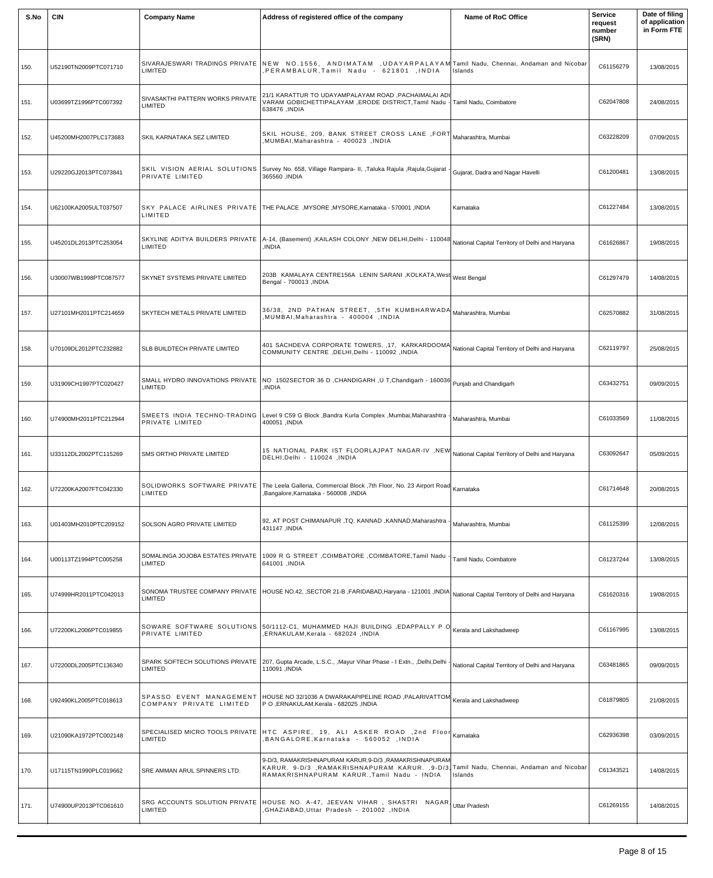| S.No | <b>CIN</b>            | <b>Company Name</b>                             | Address of registered office of the company                                                                                                                                                    | Name of RoC Office                              | <b>Service</b><br>request<br>number<br>(SRN) | Date of filing<br>of application<br>in Form FTE |
|------|-----------------------|-------------------------------------------------|------------------------------------------------------------------------------------------------------------------------------------------------------------------------------------------------|-------------------------------------------------|----------------------------------------------|-------------------------------------------------|
| 150. | U52190TN2009PTC071710 | LIMITED                                         | SIVARAJESWARI TRADINGS PRIVATE  NEW NO.1556, ANDIMATAM ,UDAYARPALAYAM Tamil Nadu, Chennai, Andaman and Nicobar<br>PERAMBALUR, Tamil Nadu - 621801 , INDIA                                      | Islands                                         | C61156279                                    | 13/08/2015                                      |
| 151. | U03699TZ1996PTC007392 | SIVASAKTHI PATTERN WORKS PRIVATE<br>LIMITED     | 21/1 KARATTUR TO UDAYAMPALAYAM ROAD, PACHAIMALAI ADI<br>VARAM GOBICHETTIPALAYAM ,ERODE DISTRICT,Tamil Nadu -<br>638476 , INDIA                                                                 | Tamil Nadu, Coimbatore                          | C62047808                                    | 24/08/2015                                      |
| 152. | U45200MH2007PLC173683 | SKIL KARNATAKA SEZ LIMITED                      | SKIL HOUSE, 209, BANK STREET CROSS LANE , FORT Maharashtra, Mumbai<br>NUMBAI,Maharashtra - 400023 ,INDIA,                                                                                      |                                                 | C63228209                                    | 07/09/2015                                      |
| 153. | U29220GJ2013PTC073841 | SKIL VISION AERIAL SOLUTIONS<br>PRIVATE LIMITED | Survey No. 658, Village Rampara- II, , Taluka Rajula , Rajula, Gujarat<br>365560, INDIA                                                                                                        | Gujarat, Dadra and Nagar Havelli                | C61200481                                    | 13/08/2015                                      |
| 154. | U62100KA2005ULT037507 | LIMITED                                         | SKY PALACE AIRLINES PRIVATE THE PALACE , MYSORE , MYSORE, Karnataka - 570001 , INDIA                                                                                                           | Karnataka                                       | C61227484                                    | 13/08/2015                                      |
| 155. | U45201DL2013PTC253054 | SKYLINE ADITYA BUILDERS PRIVATE<br>LIMITED      | $\big $ A-14, (Basement) ,KAILASH COLONY ,NEW DELHI,Delhi - 110048 $\big $ National Capital Territory of Delhi and Haryana<br>INDIA.                                                           |                                                 | C61626867                                    | 19/08/2015                                      |
| 156. | U30007WB1998PTC087577 | SKYNET SYSTEMS PRIVATE LIMITED                  | 203B KAMALAYA CENTRE156A LENIN SARANI ,KOLKATA,West West Bengal<br>Bengal - 700013, INDIA                                                                                                      |                                                 | C61297479                                    | 14/08/2015                                      |
| 157. | U27101MH2011PTC214659 | SKYTECH METALS PRIVATE LIMITED                  | 36/38, 2ND PATHAN STREET, ,5TH KUMBHARWADA Maharashtra, Mumbai<br>MUMBAI, Maharashtra - 400004, INDIA                                                                                          |                                                 | C62570882                                    | 31/08/2015                                      |
| 158. | U70109DL2012PTC232882 | SLB BUILDTECH PRIVATE LIMITED                   | 401 SACHDEVA CORPORATE TOWERS, 17, KARKARDOOMA National Capital Territory of Delhi and Haryana<br>COMMUNITY CENTRE , DELHI, Delhi - 110092 , INDIA                                             |                                                 | C62119797                                    | 25/08/2015                                      |
| 159. | U31909CH1997PTC020427 | <b>LIMITED</b>                                  | SMALL HYDRO INNOVATIONS PRIVATE   NO 1502SECTOR 36 D, CHANDIGARH, U T, Chandigarh - 160036 Puniab and Chandigarh<br>,INDIA                                                                     |                                                 | C63432751                                    | 09/09/2015                                      |
| 160. | U74900MH2011PTC212944 | PRIVATE LIMITED                                 | SMEETS INDIA TECHNO-TRADING Level 9 C59 G Block , Bandra Kurla Complex , Mumbai, Maharashtra<br>400051 , INDIA                                                                                 | Maharashtra, Mumbai                             | C61033569                                    | 11/08/2015                                      |
| 161. | U33112DL2002PTC115269 | SMS ORTHO PRIVATE LIMITED                       | 15 NATIONAL PARK IST FLOORLAJPAT NAGAR-IV ,NEW National Capital Territory of Delhi and Haryana<br>DELHI, Delhi - 110024, INDIA                                                                 |                                                 | C63092647                                    | 05/09/2015                                      |
| 162. | U72200KA2007FTC042330 | SOLIDWORKS SOFTWARE PRIVATE<br>LIMITED          | The Leela Galleria, Commercial Block ,7th Floor, No. 23 Airport Road Karnataka<br>Bangalore, Karnataka - 560008, INDIA                                                                         |                                                 | C61714648                                    | 20/08/2015                                      |
| 163. | U01403MH2010PTC209152 | SOLSON AGRO PRIVATE LIMITED                     | 92, AT POST CHIMANAPUR , TQ. KANNAD , KANNAD, Maharashtra -<br>431147, INDIA                                                                                                                   | Maharashtra, Mumbai                             | C61125399                                    | 12/08/2015                                      |
| 164. | U00113TZ1994PTC005258 | SOMALINGA JOJOBA ESTATES PRIVATE<br>LIMITED     | 1009 R G STREET , COIMBATORE , COIMBATORE, Tamil Nadu<br>641001, INDIA                                                                                                                         | Tamil Nadu, Coimbatore                          | C61237244                                    | 13/08/2015                                      |
| 165. | U74999HR2011PTC042013 | <b>LIMITED</b>                                  | SONOMA TRUSTEE COMPANY PRIVATE  HOUSE NO.42, ,SECTOR 21-B ,FARIDABAD,Haryana - 121001 ,INDIA National Capital Territory of Delhi and Haryana                                                   |                                                 | C61620316                                    | 19/08/2015                                      |
| 166. | U72200KL2006PTC019855 | PRIVATE LIMITED                                 | SOWARE SOFTWARE SOLUTIONS $ 50/1112-C1$ , MUHAMMED HAJI BUILDING , EDAPPALLY PO $ $ Kerala and Lakshadweep<br>INDIA, ERNAKULAM, Kerala - 682024, INDIA                                         |                                                 | C61167995                                    | 13/08/2015                                      |
| 167. | U72200DL2005PTC136340 | LIMITED                                         | SPARK SOFTECH SOLUTIONS PRIVATE 207, Gupta Arcade, L.S.C., , Mayur Vihar Phase - I Extn., , Delhi, Delhi -<br>110091, INDIA                                                                    | National Capital Territory of Delhi and Haryana | C63481865                                    | 09/09/2015                                      |
| 168. | U92490KL2005PTC018613 | COMPANY PRIVATE LIMITED                         | $ $ SPASSO EVENT MANAGEMENT $ $ HOUSE NO 32/1036 A DWARAKAPIPELINE ROAD ,PALARIVATTOM $ $ Kerala and Lakshadweep<br>P O , ERNAKULAM, Kerala - 682025 , INDIA                                   |                                                 | C61879805                                    | 21/08/2015                                      |
| 169. | U21090KA1972PTC002148 | LIMITED                                         | SPECIALISED MICRO TOOLS PRIVATE HTC ASPIRE, 19, ALI ASKER ROAD ,2nd Floor Kamataka<br>BANGALORE, Karnataka - 560052, INDIA                                                                     |                                                 | C62936398                                    | 03/09/2015                                      |
| 170. | U17115TN1990PLC019662 | SRE AMMAN ARUL SPINNERS LTD.                    | 9-D/3, RAMAKRISHNAPURAM KARUR.9-D/3, RAMAKRISHNAPURAM<br>KARUR. 9-D/3 ,RAMAKRISHNAPURAM KARUR. ,9-D/3, Tamil Nadu, Chennai, Andaman and Nicobar<br>RAMAKRISHNAPURAM KARUR., Tamil Nadu - INDIA | Islands                                         | C61343521                                    | 14/08/2015                                      |
| 171. | U74900UP2013PTC061610 | SRG ACCOUNTS SOLUTION PRIVATE<br>LIMITED        | HOUSE NO. A-47, JEEVAN VIHAR , SHASTRI NAGAR, Uttar Pradesh<br>INDIA, GHAZIABAD, Uttar Pradesh - 201002,                                                                                       |                                                 | C61269155                                    | 14/08/2015                                      |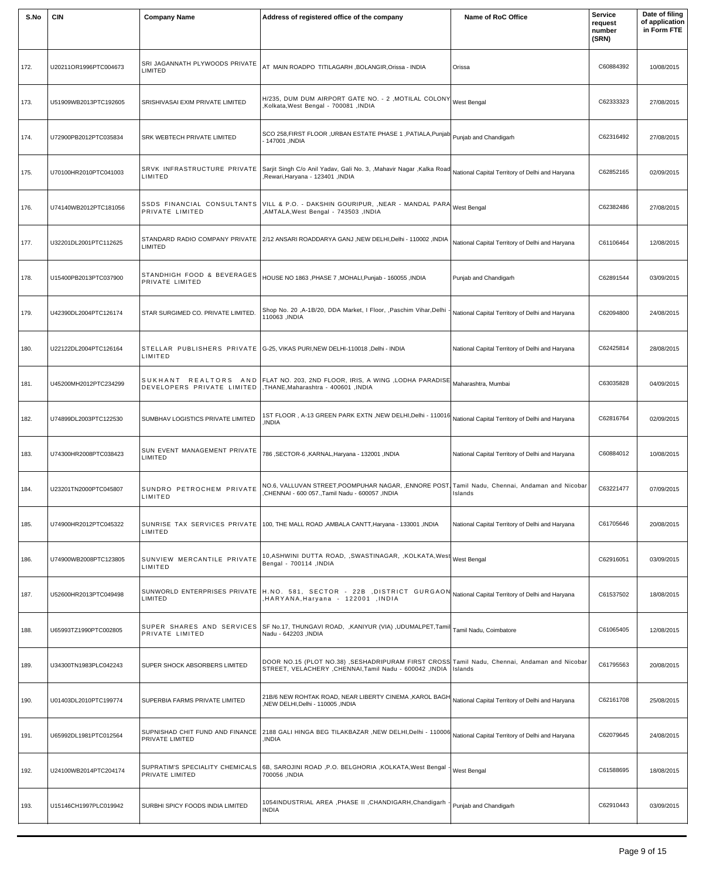| S.No | <b>CIN</b>            | <b>Company Name</b>                                               | Address of registered office of the company                                                                                                                      | Name of RoC Office                              | <b>Service</b><br>request<br>number<br>(SRN) | Date of filing<br>of application<br>in Form FTE |
|------|-----------------------|-------------------------------------------------------------------|------------------------------------------------------------------------------------------------------------------------------------------------------------------|-------------------------------------------------|----------------------------------------------|-------------------------------------------------|
| 172. | U20211OR1996PTC004673 | SRI JAGANNATH PLYWOODS PRIVATE<br>LIMITED                         | AT MAIN ROADPO TITILAGARH , BOLANGIR, Orissa - INDIA                                                                                                             | Orissa                                          | C60884392                                    | 10/08/2015                                      |
| 173. | U51909WB2013PTC192605 | SRISHIVASAI EXIM PRIVATE LIMITED                                  | H/235, DUM DUM AIRPORT GATE NO. - 2 , MOTILAL COLONY<br>,Kolkata,West Bengal - 700081, INDIA                                                                     | <b>West Bengal</b>                              | C62333323                                    | 27/08/2015                                      |
| 174. | U72900PB2012PTC035834 | SRK WEBTECH PRIVATE LIMITED                                       | SCO 258, FIRST FLOOR, URBAN ESTATE PHASE 1, PATIALA, Punjab   Punjab and Chandigarh<br>. 147001 ,INDIA                                                           |                                                 | C62316492                                    | 27/08/2015                                      |
| 175. | U70100HR2010PTC041003 | SRVK INFRASTRUCTURE PRIVATE<br>LIMITED                            | Sarjit Singh C/o Anil Yadav, Gali No. 3, , Mahavir Nagar , Kalka Road<br>Rewari, Haryana - 123401, INDIA                                                         | National Capital Territory of Delhi and Haryana | C62852165                                    | 02/09/2015                                      |
| 176. | U74140WB2012PTC181056 | PRIVATE LIMITED                                                   | SSDS FINANCIAL CONSULTANTS VILL & P.O. - DAKSHIN GOURIPUR, ,NEAR - MANDAL PARA West Bengal<br>AMTALA, West Bengal - 743503, INDIA                                |                                                 | C62382486                                    | 27/08/2015                                      |
| 177. | U32201DL2001PTC112625 | LIMITED                                                           | STANDARD RADIO COMPANY PRIVATE 2/12 ANSARI ROADDARYA GANJ ,NEW DELHI,Delhi - 110002 ,INDIA                                                                       | National Capital Territory of Delhi and Haryana | C61106464                                    | 12/08/2015                                      |
| 178. | U15400PB2013PTC037900 | STANDHIGH FOOD & BEVERAGES<br>PRIVATE LIMITED                     | HOUSE NO 1863 ,PHASE 7 ,MOHALI,Punjab - 160055 ,INDIA                                                                                                            | Punjab and Chandigarh                           | C62891544                                    | 03/09/2015                                      |
| 179. | U42390DL2004PTC126174 | STAR SURGIMED CO. PRIVATE LIMITED.                                | Shop No. 20 , A-1B/20, DDA Market, I Floor, , Paschim Vihar, Delhi<br>110063 ,INDIA                                                                              | National Capital Territory of Delhi and Haryana | C62094800                                    | 24/08/2015                                      |
| 180. | U22122DL2004PTC126164 | LIMITED                                                           | STELLAR PUBLISHERS PRIVATE G-25, VIKAS PURI, NEW DELHI-110018, Delhi - INDIA                                                                                     | National Capital Territory of Delhi and Haryana | C62425814                                    | 28/08/2015                                      |
| 181. | U45200MH2012PTC234299 | DEVELOPERS PRIVATE LIMITED   , THANE, Maharashtra - 400601, INDIA | SUKHANT REALTORS AND FLAT NO. 203, 2ND FLOOR, IRIS, A WING ,LODHA PARADISE Maharashtra, Mumbai                                                                   |                                                 | C63035828                                    | 04/09/2015                                      |
| 182. | U74899DL2003PTC122530 | SUMBHAV LOGISTICS PRIVATE LIMITED                                 | 1ST FLOOR , A-13 GREEN PARK EXTN ,NEW DELHI,Delhi - 110016 <br><b>INDIA</b>                                                                                      | National Capital Territory of Delhi and Haryana | C62816764                                    | 02/09/2015                                      |
| 183. | U74300HR2008PTC038423 | SUN EVENT MANAGEMENT PRIVATE<br>LIMITED                           | 786, SECTOR-6, KARNAL, Haryana - 132001, INDIA                                                                                                                   | National Capital Territory of Delhi and Haryana | C60884012                                    | 10/08/2015                                      |
| 184. | U23201TN2000PTC045807 | SUNDRO PETROCHEM PRIVATE<br>LIMITED                               | NO.6, VALLUVAN STREET,POOMPUHAR NAGAR, ,ENNORE POST, Tamil Nadu, Chennai, Andaman and Nicobar<br>CHENNAI - 600 057., Tamil Nadu - 600057, INDIA                  | Islands                                         | C63221477                                    | 07/09/2015                                      |
| 185. | U74900HR2012PTC045322 | SUNRISE TAX SERVICES PRIVATE<br>LIMITED                           | 100, THE MALL ROAD, AMBALA CANTT, Haryana - 133001, INDIA                                                                                                        | National Capital Territory of Delhi and Haryana | C61705646                                    | 20/08/2015                                      |
| 186. | U74900WB2008PTC123805 | SUNVIEW MERCANTILE PRIVATE<br>LIMITED                             | 10,ASHWINI DUTTA ROAD, ,SWASTINAGAR, ,KOLKATA,West $_{\mathsf{West}}$ Bengal<br>Bengal - 700114, INDIA                                                           |                                                 | C62916051                                    | 03/09/2015                                      |
| 187. | U52600HR2013PTC049498 | LIMITED                                                           | SUNWORLD ENTERPRISES PRIVATE H.NO. 581, SECTOR - 22B ,DISTRICT GURGAON National Capital Territory of Delhi and Haryana<br>HARYANA, Haryana - 122001, INDIA       |                                                 | C61537502                                    | 18/08/2015                                      |
| 188. | U65993TZ1990PTC002805 | PRIVATE LIMITED                                                   | SUPER SHARES AND SERVICES   SF No.17, THUNGAVI ROAD, , KANIYUR (VIA) , UDUMALPET, Tamil<br>Nadu - 642203 , INDIA                                                 | Tamil Nadu, Coimbatore                          | C61065405                                    | 12/08/2015                                      |
| 189. | U34300TN1983PLC042243 | SUPER SHOCK ABSORBERS LIMITED                                     | DOOR NO.15 (PLOT NO.38) , SESHADRIPURAM FIRST CROSS Tamil Nadu, Chennai, Andaman and Nicobar<br>STREET, VELACHERY, CHENNAI, Tamil Nadu - 600042, INDIA   Islands |                                                 | C61795563                                    | 20/08/2015                                      |
| 190. | U01403DL2010PTC199774 | SUPERBIA FARMS PRIVATE LIMITED                                    | 21B/6 NEW ROHTAK ROAD, NEAR LIBERTY CINEMA, KAROL BAGH<br>NEW DELHI, Delhi - 110005, INDIA                                                                       | National Capital Territory of Delhi and Haryana | C62161708                                    | 25/08/2015                                      |
| 191. | U65992DL1981PTC012564 | SUPNISHAD CHIT FUND AND FINANCE<br>PRIVATE LIMITED                | 2188 GALI HINGA BEG TILAKBAZAR ,NEW DELHI,Delhi - 110006 National Capital Territory of Delhi and Haryana<br>INDIA.                                               |                                                 | C62079645                                    | 24/08/2015                                      |
| 192. | U24100WB2014PTC204174 | SUPRATIM'S SPECIALITY CHEMICALS<br>PRIVATE LIMITED                | 6B, SAROJINI ROAD , P.O. BELGHORIA , KOLKATA, West Bengal<br>700056 , INDIA                                                                                      | West Bengal                                     | C61588695                                    | 18/08/2015                                      |
| 193. | U15146CH1997PLC019942 | SURBHI SPICY FOODS INDIA LIMITED                                  | 1054INDUSTRIAL AREA ,PHASE II ,CHANDIGARH,Chandigarh<br><b>INDIA</b>                                                                                             | Punjab and Chandigarh                           | C62910443                                    | 03/09/2015                                      |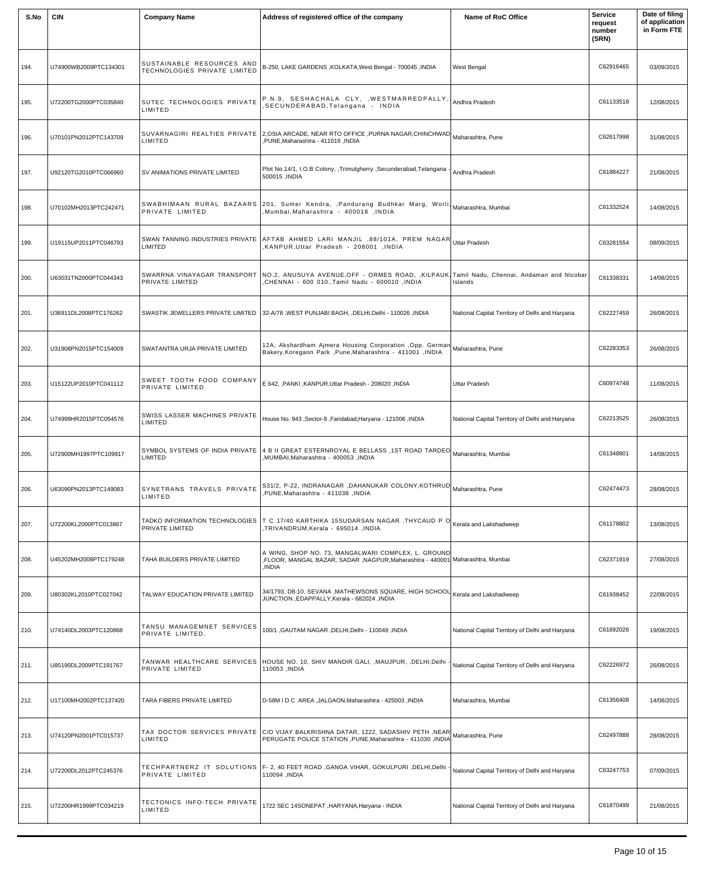| S.No | <b>CIN</b>            | <b>Company Name</b>                                              | Address of registered office of the company                                                                                                                              | Name of RoC Office                              | <b>Service</b><br>request<br>number<br>(SRN) | Date of filing<br>of application<br>in Form FTE |
|------|-----------------------|------------------------------------------------------------------|--------------------------------------------------------------------------------------------------------------------------------------------------------------------------|-------------------------------------------------|----------------------------------------------|-------------------------------------------------|
| 194. | U74900WB2009PTC134301 | SUSTAINABLE RESOURCES AND<br><b>TECHNOLOGIES PRIVATE LIMITED</b> | B-250, LAKE GARDENS, KOLKATA, West Bengal - 700045, INDIA                                                                                                                | West Bengal                                     | C62916465                                    | 03/09/2015                                      |
| 195. | U72200TG2000PTC035840 | SUTEC TECHNOLOGIES PRIVATE<br>LIMITED                            | P.N.9, SESHACHALA CLY, , WESTMARREDPALLY, Andhra Pradesh<br>SECUNDERABAD, Telangana - INDIA                                                                              |                                                 | C61133518                                    | 12/08/2015                                      |
| 196. | U70101PN2012PTC143709 | LIMITED                                                          | SUVARNAGIRI  REALTIES  PRIVATE 2,0SIA ARCADE, NEAR RTO OFFICE ,PURNA NAGAR,CHINCHWAD Maharashtra, Pune<br>,PUNE,Maharashtra - 411019 ,INDIA                              |                                                 | C62617998                                    | 31/08/2015                                      |
| 197. | U92120TG2010PTC066960 | SV ANIMATIONS PRIVATE LIMITED                                    | Plot No.14/1, I.O.B Colony, ,Trimulgherry ,Secunderabad,Telangana<br>500015, INDIA                                                                                       | Andhra Pradesh                                  | C61884227                                    | 21/08/2015                                      |
| 198. | U70102MH2013PTC242471 | PRIVATE LIMITED                                                  | <br> SWABHIMAAN RURAL BAZAARS 201, Sumer Kendra, ,Pandurang Budhkar Marg, Worli, <sub>Maharashtra, Mumbai</sub><br>Mumbai.Maharashtra - 400018 .INDIA                    |                                                 | C61332524                                    | 14/08/2015                                      |
| 199. | U19115UP2011PTC046793 | LIMITED                                                          | SWAN TANNING INDUSTRIES PRIVATE AFTAB AHMED LARI MANJIL, 88/101A, PREM NAGAR Uttar Pradesh<br>KANPUR, Uttar Pradesh - 208001, INDIA                                      |                                                 | C63281554                                    | 08/09/2015                                      |
| 200. | U63031TN2000PTC044343 | PRIVATE LIMITED                                                  | SWARRNA VINAYAGAR TRANSPORT   NO.2, ANUSUYA AVENUE, OFF - ORMES ROAD, KILPAUK Tamil Nadu, Chennai, Andaman and Nicobar<br>CHENNAI - 600 010., Tamil Nadu - 600010, INDIA | Islands                                         | C61338331                                    | 14/08/2015                                      |
| 201. | U36911DL2008PTC176262 |                                                                  | SWASTIK JEWELLERS PRIVATE LIMITED   32-A/78, WEST PUNJABI BAGH, ,DELHI,Delhi - 110026, INDIA                                                                             | National Capital Territory of Delhi and Haryana | C62227459                                    | 26/08/2015                                      |
| 202. | U31908PN2015PTC154009 | SWATANTRA URJA PRIVATE LIMITED                                   | 12A, Akshardham Ajmera Housing Corporation , Opp. German Maharashtra, Pune<br>Bakery, Koregaon Park, Pune, Maharashtra - 411001, INDIA                                   |                                                 | C62283353                                    | 26/08/2015                                      |
| 203. | U15122UP2010PTC041112 | SWEET TOOTH FOOD COMPANY<br>PRIVATE LIMITED                      | E 642, , PANKI, KANPUR, Uttar Pradesh - 208020, INDIA                                                                                                                    | Uttar Pradesh                                   | C60974748                                    | 11/08/2015                                      |
| 204. | U74999HR2015PTC054576 | SWISS LASSER MACHINES PRIVATE<br>LIMITED                         | House No. 943, Sector-9, Faridabad, Haryana - 121006, INDIA                                                                                                              | National Capital Territory of Delhi and Haryana | C62213525                                    | 26/08/2015                                      |
| 205. | U72900MH1997PTC109917 | SYMBOL SYSTEMS OF INDIA PRIVATE<br>LIMITED                       | 4 B II GREAT ESTERNROYAL E BELLASS ,1ST ROAD TARDEO Maharashtra, Mumbai<br>NUMBAI, Maharashtra - 400053, INDIA                                                           |                                                 | C61348801                                    | 14/08/2015                                      |
| 206. | U63090PN2013PTC149083 | SYNETRANS TRAVELS PRIVATE<br>LIMITED                             | S31/2, P-22, INDRANAGAR ,DAHANUKAR COLONY,KOTHRUD Maharashtra, Pune<br>PUNE.Maharashtra - 411038 .INDIA                                                                  |                                                 | C62474473                                    | 28/08/2015                                      |
| 207. | U72200KL2000PTC013867 | TADKO INFORMATION TECHNOLOGIES<br>PRIVATE LIMITED                | $T$ C 17/40 KARTHIKA 15SUDARSAN NAGAR , THYCAUD P O Kerala and Lakshadweep<br>INDIA, TRIVANDRUM,Kerala - 695014,                                                         |                                                 | C61178802                                    | 13/08/2015                                      |
| 208. | U45202MH2008PTC179248 | TAHA BUILDERS PRIVATE LIMITED                                    | A WING, SHOP NO. 73, MANGALWARI COMPLEX, L. GROUND<br>,FLOOR, MANGAL BAZAR, SADAR ,NAGPUR,Maharashtra - 440001 Maharashtra, Mumbai<br>INDIA,                             |                                                 | C62371919                                    | 27/08/2015                                      |
| 209. | U80302KL2010PTC027042 | TALWAY EDUCATION PRIVATE LIMITED                                 | 34/1793, D8-10, SEVANA , MATHEWSONS SQUARE, HIGH SCHOOL Kerala and Lakshadweep<br>JUNCTION ,EDAPPALLY,Kerala - 682024 ,INDIA                                             |                                                 | C61938452                                    | 22/08/2015                                      |
| 210. | U74140DL2003PTC120868 | TANSU MANAGEMNET SERVICES<br>PRIVATE LIMITED.                    | I00/1 ,GAUTAM NAGAR ,DELHI,Delhi - 110049 ,INDIA                                                                                                                         | National Capital Territory of Delhi and Haryana | C61692026                                    | 19/08/2015                                      |
| 211. | U85190DL2009PTC191767 | PRIVATE LIMITED                                                  | TANWAR HEALTHCARE SERVICES HOUSE NO. 10, SHIV MANDIR GALI, ,MAUJPUR, ,DELHI,Delhi<br>110053 , INDIA                                                                      | National Capital Territory of Delhi and Haryana | C62226972                                    | 26/08/2015                                      |
| 212. | U17100MH2002PTC137420 | TARA FIBERS PRIVATE LIMITED                                      | D-58M I D C AREA, JALGAON, Maharashtra - 425003, INDIA                                                                                                                   | Maharashtra, Mumbai                             | C61356408                                    | 14/08/2015                                      |
| 213. | U74120PN2001PTC015737 | LIMITED                                                          | TAX DOCTOR SERVICES PRIVATE C/O VIJAY BALKRISHNA DATAR, 1222, SADASHIV PETH, NEAR Maharashtra, Pune<br>PERUGATE POLICE STATION .PUNE.Maharashtra - 411030 .INDIA         |                                                 | C62497888                                    | 28/08/2015                                      |
| 214. | U72200DL2012PTC245376 | PRIVATE LIMITED                                                  | TECHPARTNERZ IT SOLUTIONS   F- 2, 40 FEET ROAD , GANGA VIHAR, GOKULPURI , DELHI, Delhi -<br>110094 .INDIA                                                                | National Capital Territory of Delhi and Haryana | C63247753                                    | 07/09/2015                                      |
| 215. | U72200HR1999PTC034219 | TECTONICS INFO-TECH PRIVATE<br>LIMITED                           | 1722 SEC 14SONEPAT, HARYANA, Haryana - INDIA                                                                                                                             | National Capital Territory of Delhi and Haryana | C61870499                                    | 21/08/2015                                      |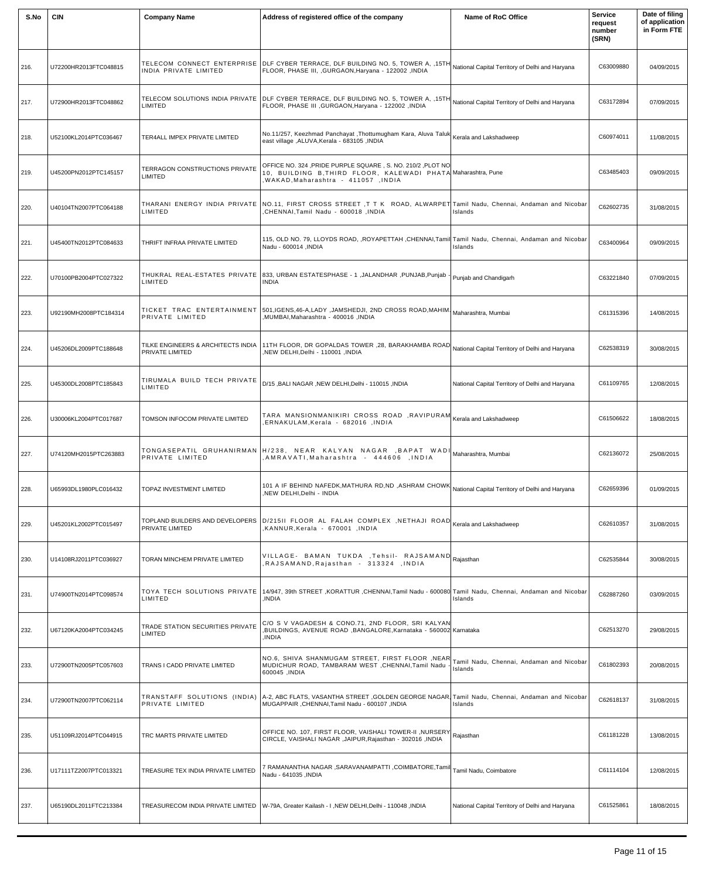| S.No | <b>CIN</b>            | <b>Company Name</b>                                   | Address of registered office of the company                                                                                                                                                  | Name of RoC Office                                  | <b>Service</b><br>request<br>number<br>(SRN) | Date of filing<br>of application<br>in Form FTE |
|------|-----------------------|-------------------------------------------------------|----------------------------------------------------------------------------------------------------------------------------------------------------------------------------------------------|-----------------------------------------------------|----------------------------------------------|-------------------------------------------------|
| 216. | U72200HR2013FTC048815 | INDIA PRIVATE LIMITED                                 | TELECOM CONNECT ENTERPRISE DLF CYBER TERRACE, DLF BUILDING NO. 5, TOWER A, ,15TH National Capital Territory of Delhi and Haryana<br>FLOOR, PHASE III, , GURGAON, Haryana - 122002, INDIA     |                                                     | C63009880                                    | 04/09/2015                                      |
| 217. | U72900HR2013FTC048862 | LIMITED                                               | TELECOM SOLUTIONS INDIA PRIVATE DLF CYBER TERRACE, DLF BUILDING NO. 5, TOWER A, ,15TH National Capital Territory of Delhi and Haryana<br>FLOOR, PHASE III , GURGAON, Haryana - 122002, INDIA |                                                     | C63172894                                    | 07/09/2015                                      |
| 218. | U52100KL2014PTC036467 | TER4ALL IMPEX PRIVATE LIMITED                         | No.11/257, Keezhmad Panchayat ,Thottumugham Kara, Aluva Taluk Kerala and Lakshadweep<br>east village , ALUVA, Kerala - 683105, INDIA                                                         |                                                     | C60974011                                    | 11/08/2015                                      |
| 219. | U45200PN2012PTC145157 | TERRAGON CONSTRUCTIONS PRIVATE<br>LIMITED             | OFFICE NO. 324, PRIDE PURPLE SQUARE, S. NO. 210/2, PLOT NO<br>10, BUILDING B,THIRD FLOOR, KALEWADI PHATA Maharashtra, Pune<br>NAKAD,Maharashtra - 411057 ,INDIA,                             |                                                     | C63485403                                    | 09/09/2015                                      |
| 220. | U40104TN2007PTC064188 | LIMITED                                               | THARANI ENERGY INDIA PRIVATE  NO.11, FIRST CROSS STREET ,T T K ROAD, ALWARPET Tamil Nadu, Chennai, Andaman and Nicobar<br>INDIA, CHENNAI,Tamil Nadu - 600018,                                | Islands                                             | C62602735                                    | 31/08/2015                                      |
| 221. | U45400TN2012PTC084633 | THRIFT INFRAA PRIVATE LIMITED                         | 115, OLD NO. 79, LLOYDS ROAD, ROYAPETTAH ,CHENNAI,Tamil Tamil Nadu, Chennai, Andaman and Nicobar<br>Nadu - 600014, INDIA                                                                     | Islands                                             | C63400964                                    | 09/09/2015                                      |
| 222. | U70100PB2004PTC027322 | THUKRAL REAL-ESTATES PRIVATE<br>LIMITED               | 833, URBAN ESTATESPHASE - 1, JALANDHAR, PUNJAB, Punjab -<br>INDIA                                                                                                                            | Punjab and Chandigarh                               | C63221840                                    | 07/09/2015                                      |
| 223. | U92190MH2008PTC184314 | PRIVATE LIMITED                                       | TICKET TRAC ENTERTAINMENT 501, IGENS, 46-A, LADY, JAMSHEDJI, 2ND CROSS ROAD, MAHIM.<br>,MUMBAI,Maharashtra - 400016 ,INDIA                                                                   |                                                     | C61315396                                    | 14/08/2015                                      |
| 224. | U45206DL2009PTC188648 | TILKE ENGINEERS & ARCHITECTS INDIA<br>PRIVATE LIMITED | 11TH FLOOR, DR GOPALDAS TOWER ,28, BARAKHAMBA ROAD National Capital Territory of Delhi and Haryana<br>NEW DELHI,Delhi - 110001 ,INDIA,                                                       |                                                     | C62538319                                    | 30/08/2015                                      |
| 225. | U45300DL2008PTC185843 | TIRUMALA BUILD TECH PRIVATE<br>LIMITED                | ID/15, BALI NAGAR, NEW DELHI, Delhi - 110015, INDIA                                                                                                                                          | National Capital Territory of Delhi and Haryana     | C61109765                                    | 12/08/2015                                      |
| 226. | U30006KL2004PTC017687 | TOMSON INFOCOM PRIVATE LIMITED                        | TARA MANSIONMANIKIRI CROSS ROAD, RAVIPURAM Kerala and Lakshadweep<br>INDIA, ERNAKULAM, Kerala - 682016,                                                                                      |                                                     | C61506622                                    | 18/08/2015                                      |
| 227. | U74120MH2015PTC263883 | PRIVATE LIMITED                                       | TONGASEPATIL GRUHANIRMAN H/238, NEAR KALYAN NAGAR ,BAPAT WADI Maharashtra, Mumbai<br>AMRAVATI,Maharashtra - 444606 ,INDIA,                                                                   |                                                     | C62136072                                    | 25/08/2015                                      |
| 228. | U65993DL1980PLC016432 | TOPAZ INVESTMENT LIMITED                              | 101 A IF BEHIND NAFEDK, MATHURA RD, ND, ASHRAM CHOWK National Capital Territory of Delhi and Haryana<br>NEW DELHI, Delhi - INDIA                                                             |                                                     | C62659396                                    | 01/09/2015                                      |
| 229. | U45201KL2002PTC015497 | PRIVATE LIMITED                                       | TOPLAND BUILDERS AND DEVELOPERS D/21511 FLOOR AL FALAH COMPLEX, NETHAJI ROAD Kerala and Lakshadweep<br>NDIA, Kerala - 670001, NDIA,                                                          |                                                     | C62610357                                    | 31/08/2015                                      |
| 230. | U14108RJ2011PTC036927 | TORAN MINCHEM PRIVATE LIMITED                         | VILLAGE- BAMAN TUKDA , Tehsil- RAJSAMAND Rajasthan<br>,RAJSAMAND,Rajasthan - 313324 ,INDIA                                                                                                   |                                                     | C62535844                                    | 30/08/2015                                      |
| 231. | U74900TN2014PTC098574 | TOYA TECH SOLUTIONS PRIVATE<br>LIMITED                | 14/947, 39th STREET, KORATTUR, CHENNAI, Tamil Nadu - 600080 Tamil Nadu, Chennai, Andaman and Nicobar<br>,INDIA                                                                               | Islands                                             | C62887260                                    | 03/09/2015                                      |
| 232. | U67120KA2004PTC034245 | TRADE STATION SECURITIES PRIVATE<br>LIMITED           | C/O S V VAGADESH & CONO.71, 2ND FLOOR, SRI KALYAN<br>,BUILDINGS, AVENUE ROAD ,BANGALORE,Karnataka - 560002 Karnataka<br>,INDIA                                                               |                                                     | C62513270                                    | 29/08/2015                                      |
| 233. | U72900TN2005PTC057603 | TRANS I CADD PRIVATE LIMITED                          | NO.6, SHIVA SHANMUGAM STREET, FIRST FLOOR ,NEAR<br>MUDICHUR ROAD, TAMBARAM WEST ,CHENNAI,Tamil Nadu<br>600045, INDIA                                                                         | Tamil Nadu, Chennai, Andaman and Nicobar<br>Islands | C61802393                                    | 20/08/2015                                      |
| 234. | U72900TN2007PTC062114 | PRIVATE LIMITED                                       | TRANSTAFF SOLUTIONS (INDIA) A-2, ABC FLATS, VASANTHA STREET,GOLDEN GEORGE NAGAR, Tamil Nadu, Chennai, Andaman and Nicobar<br>MUGAPPAIR, CHENNAI, Tamil Nadu - 600107, INDIA                  | Islands                                             | C62618137                                    | 31/08/2015                                      |
| 235. | U51109RJ2014PTC044915 | TRC MARTS PRIVATE LIMITED                             | OFFICE NO. 107, FIRST FLOOR, VAISHALI TOWER-II, NURSERY Rajasthan<br>CIRCLE, VAISHALI NAGAR, JAIPUR, Rajasthan - 302016, INDIA                                                               |                                                     | C61181228                                    | 13/08/2015                                      |
| 236. | U17111TZ2007PTC013321 | TREASURE TEX INDIA PRIVATE LIMITED                    | 7 RAMANANTHA NAGAR ,SARAVANAMPATTI ,COIMBATORE,Tamil Tamil Nadu, Coimbatore<br>Nadu - 641035 , INDIA                                                                                         |                                                     | C61114104                                    | 12/08/2015                                      |
| 237. | U65190DL2011FTC213384 | TREASURECOM INDIA PRIVATE LIMITED                     | W-79A, Greater Kailash - I, NEW DELHI, Delhi - 110048, INDIA                                                                                                                                 | National Capital Territory of Delhi and Haryana     | C61525861                                    | 18/08/2015                                      |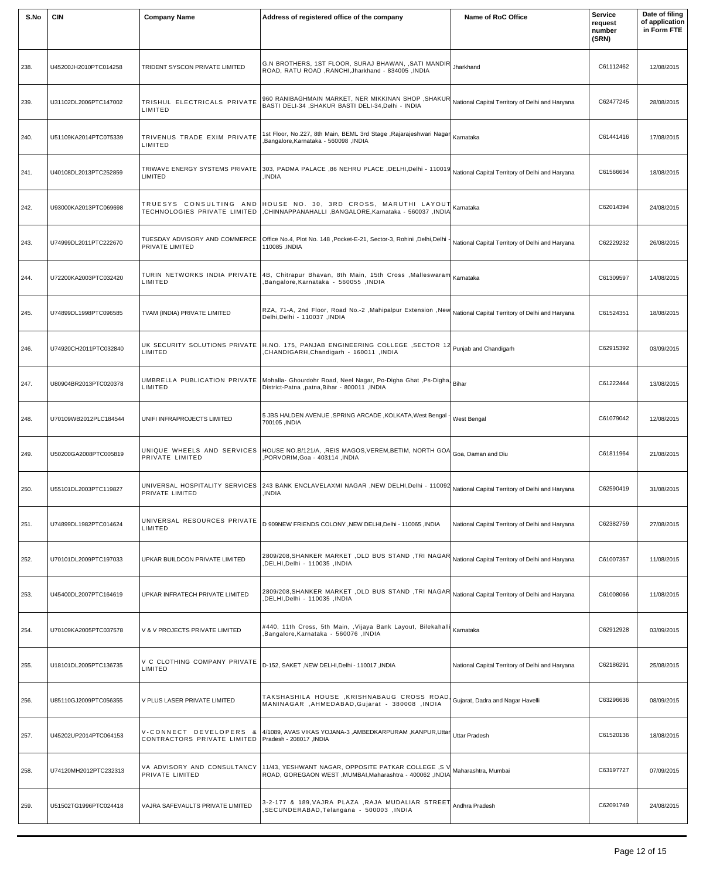| S.No | <b>CIN</b>            | <b>Company Name</b>                                   | Address of registered office of the company                                                                                                                    | Name of RoC Office                              | <b>Service</b><br>request<br>number<br>(SRN) | Date of filing<br>of application<br>in Form FTE |
|------|-----------------------|-------------------------------------------------------|----------------------------------------------------------------------------------------------------------------------------------------------------------------|-------------------------------------------------|----------------------------------------------|-------------------------------------------------|
| 238. | U45200JH2010PTC014258 | TRIDENT SYSCON PRIVATE LIMITED                        | G.N BROTHERS, 1ST FLOOR, SURAJ BHAWAN, , SATI MANDIR<br>ROAD, RATU ROAD, RANCHI, Jharkhand - 834005, INDIA                                                     | Jharkhand                                       | C61112462                                    | 12/08/2015                                      |
| 239. | U31102DL2006PTC147002 | TRISHUL ELECTRICALS PRIVATE<br>LIMITED                | 960 RANIBAGHMAIN MARKET, NER MIKKINAN SHOP , SHAKUR<br>BASTI DELI-34, SHAKUR BASTI DELI-34, Delhi - INDIA                                                      | National Capital Territory of Delhi and Haryana | C62477245                                    | 28/08/2015                                      |
| 240. | U51109KA2014PTC075339 | TRIVENUS TRADE EXIM PRIVATE<br>LIMITED                | 1st Floor, No.227, 8th Main, BEML 3rd Stage ,Rajarajeshwari Nagar  <sub>Karnataka</sub><br>Bangalore, Karnataka - 560098, INDIA                                |                                                 | C61441416                                    | 17/08/2015                                      |
| 241. | U40108DL2013PTC252859 | TRIWAVE ENERGY SYSTEMS PRIVATE<br>LIMITED             | 303, PADMA PALACE ,86 NEHRU PLACE ,DELHI,Delhi - 110019 <br>INDIA.                                                                                             | National Capital Territory of Delhi and Haryana | C61566634                                    | 18/08/2015                                      |
| 242. | U93000KA2013PTC069698 | TECHNOLOGIES PRIVATE LIMITED                          | TRUESYS CONSULTING AND HOUSE NO. 30, 3RD CROSS, MARUTHI LAYOUT Kamataka<br>CHINNAPPANAHALLI, BANGALORE, Karnataka - 560037, INDIA                              |                                                 | C62014394                                    | 24/08/2015                                      |
| 243. | U74999DL2011PTC222670 | TUESDAY ADVISORY AND COMMERCE<br>PRIVATE LIMITED      | Office No.4, Plot No. 148, Pocket-E-21, Sector-3, Rohini, Delhi, Delhi<br>110085 ,INDIA                                                                        | National Capital Territory of Delhi and Haryana | C62229232                                    | 26/08/2015                                      |
| 244. | U72200KA2003PTC032420 | TURIN NETWORKS INDIA PRIVATE<br>LIMITED               | $\vert$ 4B, Chitrapur Bhavan, 8th Main, 15th Cross ,Malleswaram $\vert$ Kamataka<br>Bangalore, Karnataka - 560055, INDIA                                       |                                                 | C61309597                                    | 14/08/2015                                      |
| 245. | U74899DL1998PTC096585 | TVAM (INDIA) PRIVATE LIMITED                          | RZA, 71-A, 2nd Floor, Road No.-2, Mahipalpur Extension, New National Capital Territory of Delhi and Haryana<br>Delhi, Delhi - 110037, INDIA                    |                                                 | C61524351                                    | 18/08/2015                                      |
| 246. | U74920CH2011PTC032840 | LIMITED                                               | UK SECURITY SOLUTIONS PRIVATE H.NO. 175, PANJAB ENGINEERING COLLEGE, SECTOR 12 Punjab and Chandigarh<br><b>CHANDIGARH, Chandigarh - 160011, INDIA</b>          |                                                 | C62915392                                    | 03/09/2015                                      |
| 247. | U80904BR2013PTC020378 | LIMITED                                               | Binar Charl Publication PRIVATE Mohalla- Ghourdohr Road, Neel Nagar, Po-Digha Ghat ,Ps-Digha,<br>District-Patna ,patna,Bihar - 800011 ,INDIA                   |                                                 | C61222444                                    | 13/08/2015                                      |
| 248. | U70109WB2012PLC184544 | UNIFI INFRAPROJECTS LIMITED                           | 5 JBS HALDEN AVENUE, SPRING ARCADE, KOLKATA, West Bengal<br>700105, INDIA                                                                                      | West Bengal                                     | C61079042                                    | 12/08/2015                                      |
| 249. | U50200GA2008PTC005819 | PRIVATE LIMITED                                       | UNIQUE WHEELS AND SERVICES HOUSE NO.B/121/A, , REIS MAGOS, VEREM, BETIM, NORTH GOA Goa, Daman and Diu<br>PORVORIM, Goa - 403114, INDIA                         |                                                 | C61811964                                    | 21/08/2015                                      |
| 250. | U55101DL2003PTC119827 | UNIVERSAL HOSPITALITY SERVICES<br>PRIVATE LIMITED     | 243 BANK ENCLAVELAXMI NAGAR, NEW DELHI, Delhi - 110092 National Capital Territory of Delhi and Haryana<br>INDIA.                                               |                                                 | C62590419                                    | 31/08/2015                                      |
| 251. | U74899DL1982PTC014624 | UNIVERSAL RESOURCES PRIVATE<br>LIMITED                | D 909NEW FRIENDS COLONY , NEW DELHI, Delhi - 110065 , INDIA                                                                                                    | National Capital Territory of Delhi and Haryana | C62382759                                    | 27/08/2015                                      |
| 252. | U70101DL2009PTC197033 | UPKAR BUILDCON PRIVATE LIMITED                        | 2809/208, SHANKER MARKET, OLD BUS STAND, TRI NAGAR National Capital Territory of Delhi and Haryana<br>INDIA, DELHI, Delhi - 110035, INDIA                      |                                                 | C61007357                                    | 11/08/2015                                      |
| 253. | U45400DL2007PTC164619 | UPKAR INFRATECH PRIVATE LIMITED                       | 2809/208,SHANKER MARKET ,OLD BUS STAND ,TRI NAGAR National Capital Territory of Delhi and Haryana<br>INDIA, DELHI, Delhi - 110035, INDIA                       |                                                 | C61008066                                    | 11/08/2015                                      |
| 254. | U70109KA2005PTC037578 | V & V PROJECTS PRIVATE LIMITED                        | #440, 11th Cross, 5th Main, , Vijaya Bank Layout, Bilekahalli Karnataka<br>Bangalore, Karnataka - 560076, INDIA                                                |                                                 | C62912928                                    | 03/09/2015                                      |
| 255. | U18101DL2005PTC136735 | V C CLOTHING COMPANY PRIVATE<br>LIMITED               | D-152, SAKET, NEW DELHI, Delhi - 110017, INDIA                                                                                                                 | National Capital Territory of Delhi and Haryana | C62186291                                    | 25/08/2015                                      |
| 256. | U85110GJ2009PTC056355 | V PLUS LASER PRIVATE LIMITED                          | TAKSHASHILA HOUSE , KRISHNABAUG CROSS ROAD, Gujarat, Dadra and Nagar Havelli<br>MANINAGAR, AHMEDABAD, Gujarat - 380008, INDIA                                  |                                                 | C63296636                                    | 08/09/2015                                      |
| 257. | U45202UP2014PTC064153 | CONTRACTORS PRIVATE LIMITED   Pradesh - 208017, INDIA | V-CONNECT DEVELOPERS & 4/1089, AVAS VIKAS YOJANA-3 ,AMBEDKARPURAM ,KANPUR,Uttar Uttar Pradesh                                                                  |                                                 | C61520136                                    | 18/08/2015                                      |
| 258. | U74120MH2012PTC232313 | PRIVATE LIMITED                                       | VA ADVISORY AND CONSULTANCY 11/43, YESHWANT NAGAR, OPPOSITE PATKAR COLLEGE, SV Maharashtra, Mumbai<br>ROAD, GOREGAON WEST, MUMBAI, Maharashtra - 400062, INDIA |                                                 | C63197727                                    | 07/09/2015                                      |
| 259. | U51502TG1996PTC024418 | VAJRA SAFEVAULTS PRIVATE LIMITED                      | 3-2-177 & 189, VAJRA PLAZA , RAJA MUDALIAR STREET<br>SECUNDERABAD, Telangana - 500003, INDIA                                                                   | Andhra Pradesh                                  | C62091749                                    | 24/08/2015                                      |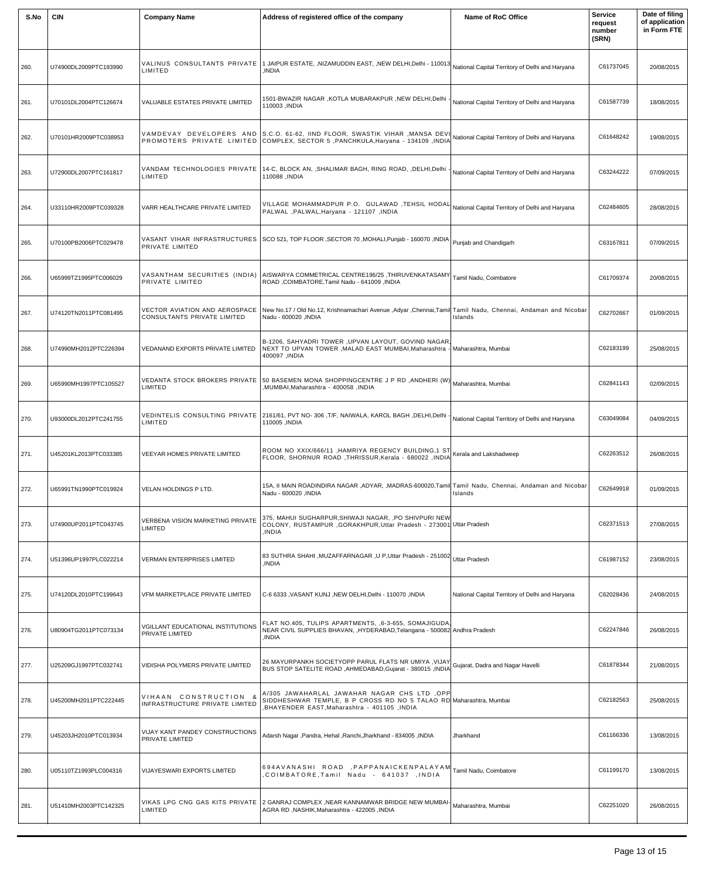| S.No | <b>CIN</b>            | <b>Company Name</b>                                          | Address of registered office of the company                                                                                                                       | Name of RoC Office                              | <b>Service</b><br>request<br>number<br>(SRN) | Date of filing<br>of application<br>in Form FTE |
|------|-----------------------|--------------------------------------------------------------|-------------------------------------------------------------------------------------------------------------------------------------------------------------------|-------------------------------------------------|----------------------------------------------|-------------------------------------------------|
| 260. | U74900DL2009PTC193990 | VALINUS CONSULTANTS PRIVATE<br>LIMITED                       | I JAIPUR ESTATE, ,NIZAMUDDIN EAST, ,NEW DELHI,Delhi - 110013 National Capital Territory of Delhi and Haryana<br>,INDIA                                            |                                                 | C61737045                                    | 20/08/2015                                      |
| 261. | U70101DL2004PTC126674 | VALUABLE ESTATES PRIVATE LIMITED                             | 1501-BWAZIR NAGAR ,KOTLA MUBARAKPUR ,NEW DELHI,Delhi<br>110003 ,INDIA                                                                                             | National Capital Territory of Delhi and Haryana | C61587739                                    | 18/08/2015                                      |
| 262. | U70101HR2009PTC038953 |                                                              | VAMDEVAY DEVELOPERS AND S.C.O. 61-62, IIND FLOOR, SWASTIK VIHAR , MANSA DEVI<br>PROMOTERS PRIVATE LIMITED COMPLEX, SECTOR 5 , PANCHKULA, Haryana - 134109 , INDIA | National Capital Territory of Delhi and Haryana | C61648242                                    | 19/08/2015                                      |
| 263. | U72900DL2007PTC161817 | VANDAM TECHNOLOGIES PRIVATE<br>LIMITED                       | 14-C, BLOCK AN, , SHALIMAR BAGH, RING ROAD, , DELHI, Delhi<br>110088 ,INDIA                                                                                       | National Capital Territory of Delhi and Haryana | C63244222                                    | 07/09/2015                                      |
| 264. | U33110HR2009PTC039328 | VARR HEALTHCARE PRIVATE LIMITED                              | VILLAGE MOHAMMADPUR P.O. GULAWAD ,TEHSIL HODAL National Capital Territory of Delhi and Haryana<br>PALWAL , PALWAL, Haryana - 121107, INDIA                        |                                                 | C62484605                                    | 28/08/2015                                      |
| 265. | U70100PB2006PTC029478 | PRIVATE LIMITED                                              | VASANT VIHAR INFRASTRUCTURES SCO 521, TOP FLOOR, SECTOR 70, MOHALI, Punjab - 160070, INDIA Punjab and Chandigarh                                                  |                                                 | C63167811                                    | 07/09/2015                                      |
| 266. | U65999TZ1995PTC006029 | PRIVATE LIMITED                                              | VASANTHAM SECURITIES (INDIA) AISWARYA COMMETRICAL CENTRE196/25, THIRUVENKATASAMY<br>ROAD, COIMBATORE, Tamil Nadu - 641009, INDIA                                  | Tamil Nadu, Coimbatore                          | C61709374                                    | 20/08/2015                                      |
| 267. | U74120TN2011PTC081495 | VECTOR AVIATION AND AEROSPACE<br>CONSULTANTS PRIVATE LIMITED | New No.17 / Old No.12, Krishnamachari Avenue ,Adyar ,Chennai,Tamil Tamil Nadu, Chennai, Andaman and Nicobar<br>Nadu - 600020, INDIA                               | Islands                                         | C62702667                                    | 01/09/2015                                      |
| 268. | U74990MH2012PTC226394 | VEDANAND EXPORTS PRIVATE LIMITED                             | B-1206, SAHYADRI TOWER , UPVAN LAYOUT, GOVIND NAGAR<br>NEXT TO UPVAN TOWER , MALAD EAST MUMBAI, Maharashtra - Maharashtra, Mumbai<br>400097, INDIA                |                                                 | C62183199                                    | 25/08/2015                                      |
| 269. | U65990MH1997PTC105527 | LIMITED                                                      | VEDANTA STOCK BROKERS PRIVATE S0 BASEMEN MONA SHOPPINGCENTRE J P RD ,ANDHERI (W) Maharashtra, Mumbai<br>,MUMBAI,Maharashtra - 400058, INDIA                       |                                                 | C62841143                                    | 02/09/2015                                      |
| 270. | U93000DL2012PTC241755 | LIMITED                                                      | . VEDINTELIS  CONSULTING  PRIVATE   2161/61, PVT NO- 306 ,T/F, NAIWALA, KAROL BAGH ,DELHI,Delhi<br>110005 .INDIA                                                  | National Capital Territory of Delhi and Haryana | C63049084                                    | 04/09/2015                                      |
| 271. | U45201KL2013PTC033385 | VEEYAR HOMES PRIVATE LIMITED                                 | ROOM NO XXIX/666/11 , HAMRIYA REGENCY BUILDING, 1 ST Kerala and Lakshadweep<br>FLOOR, SHORNUR ROAD, THRISSUR, Kerala - 680022, INDIA                              |                                                 | C62263512                                    | 26/08/2015                                      |
| 272. | U65991TN1990PTC019924 | VELAN HOLDINGS P LTD.                                        | 15A, II MAIN ROADINDIRA NAGAR ,ADYAR, ,MADRAS-600020,Tamil Tamil Nadu, Chennai, Andaman and Nicobar<br>Nadu - 600020, INDIA                                       | Islands                                         | C62649918                                    | 01/09/2015                                      |
| 273. | U74900UP2011PTC043745 | VERBENA VISION MARKETING PRIVATE<br>LIMITED                  | 375, MAHUI SUGHARPUR, SHIWAJI NAGAR, , PO SHIVPURI NEW<br>COLONY, RUSTAMPUR, GORAKHPUR, Uttar Pradesh - 273001 Uttar Pradesh<br>INDIA,                            |                                                 | C62371513                                    | 27/08/2015                                      |
| 274. | U51396UP1997PLC022214 | VERMAN ENTERPRISES LIMITED                                   | 83 SUTHRA SHAHI , MUZAFFARNAGAR , U P, Uttar Pradesh - 251002 Uttar Pradesh<br>INDIA,                                                                             |                                                 | C61987152                                    | 23/08/2015                                      |
| 275. | U74120DL2010PTC199643 | VFM MARKETPLACE PRIVATE LIMITED                              | IC-6 6333 , VASANT KUNJ ,NEW DELHI,Delhi - 110070 ,INDIA                                                                                                          | National Capital Territory of Delhi and Haryana | C62028436                                    | 24/08/2015                                      |
| 276. | U80904TG2011PTC073134 | VGILLANT EDUCATIONAL INSTITUTIONS<br>PRIVATE LIMITED         | FLAT NO.405, TULIPS APARTMENTS, ,6-3-655, SOMAJIGUDA,<br>NEAR CIVIL SUPPLIES BHAVAN, HYDERABAD, Telangana - 500082 Andhra Pradesh<br>,INDIA                       |                                                 | C62247846                                    | 26/08/2015                                      |
| 277. | U25209GJ1997PTC032741 | VIDISHA POLYMERS PRIVATE LIMITED                             | 26 MAYURPANKH SOCIETYOPP PARUL FLATS NR UMIYA , VIJAY Gujarat, Dadra and Nagar Havelli<br>BUS STOP SATELITE ROAD, AHMEDABAD, Gujarat - 380015, INDIA              |                                                 | C61878344                                    | 21/08/2015                                      |
| 278. | U45200MH2011PTC222445 | VIHAAN CONSTRUCTION &<br>INFRASTRUCTURE PRIVATE LIMITED      | A/305 JAWAHARLAL JAWAHAR NAGAR CHS LTD, OPP<br>SIDDHESHWAR TEMPLE, B P CROSS RD NO 5 TALAO RD Maharashtra, Mumbai<br>BHAYENDER EAST, Maharashtra - 401105, INDIA  |                                                 | C62182563                                    | 25/08/2015                                      |
| 279. | U45203JH2010PTC013934 | VIJAY KANT PANDEY CONSTRUCTIONS<br>PRIVATE LIMITED           | Adarsh Nagar, Pandra, Hehal, Ranchi, Jharkhand - 834005, INDIA                                                                                                    | Jharkhand                                       | C61166336                                    | 13/08/2015                                      |
| 280. | U05110TZ1993PLC004316 | VIJAYESWARI EXPORTS LIMITED                                  | 694AVANASHI ROAD ,PAPPANAICKENPALAYAM Tamil Nadu, Coimbatore<br>COIMBATORE,Tamil Nadu - 641037 ,INDIA                                                             |                                                 | C61199170                                    | 13/08/2015                                      |
| 281. | U51410MH2003PTC142325 | LIMITED                                                      | VIKAS LPG CNG GAS KITS PRIVATE 2 GANRAJ COMPLEX, NEAR KANNAMWAR BRIDGE NEW MUMBAI-Maharashtra, Mumbai<br>AGRA RD, NASHIK, Maharashtra - 422005, INDIA             |                                                 | C62251020                                    | 26/08/2015                                      |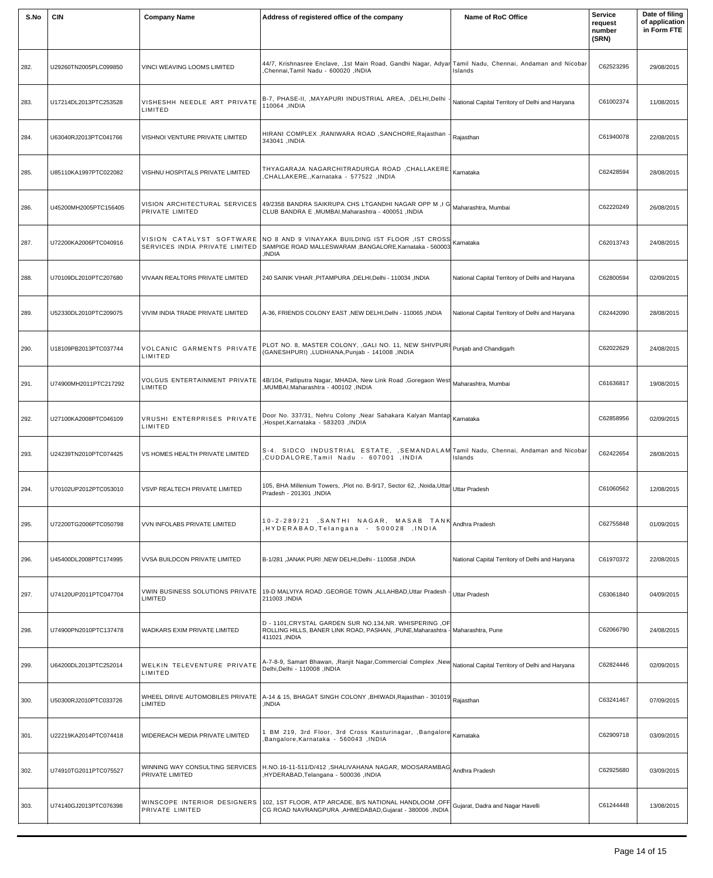| S.No | <b>CIN</b>            | <b>Company Name</b>                              | Address of registered office of the company                                                                                                                                                  | <b>Name of RoC Office</b>                       | <b>Service</b><br>request<br>number<br>(SRN) | Date of filing<br>of application<br>in Form FTE |
|------|-----------------------|--------------------------------------------------|----------------------------------------------------------------------------------------------------------------------------------------------------------------------------------------------|-------------------------------------------------|----------------------------------------------|-------------------------------------------------|
| 282. | U29260TN2005PLC099850 | VINCI WEAVING LOOMS LIMITED                      | 44/7, Krishnasree Enclave, ,1st Main Road, Gandhi Nagar, Adyar Tamil Nadu, Chennai, Andaman and Nicobar<br><b>Chennai,Tamil Nadu - 600020 ,INDIA</b>                                         | Islands                                         | C62523295                                    | 29/08/2015                                      |
| 283. | U17214DL2013PTC253528 | VISHESHH NEEDLE ART PRIVATE<br>LIMITED           | B-7, PHASE-II, ,MAYAPURI INDUSTRIAL AREA, ,DELHI,Delhi<br>110064 ,INDIA                                                                                                                      | National Capital Territory of Delhi and Haryana | C61002374                                    | 11/08/2015                                      |
| 284. | U63040RJ2013PTC041766 | VISHNOI VENTURE PRIVATE LIMITED                  | HIRANI COMPLEX , RANIWARA ROAD , SANCHORE, Rajasthan<br>343041, INDIA                                                                                                                        | Rajasthan                                       | C61940078                                    | 22/08/2015                                      |
| 285. | U85110KA1997PTC022082 | VISHNU HOSPITALS PRIVATE LIMITED                 | THYAGARAJA NAGARCHITRADURGA ROAD ,CHALLAKERE Kamataka<br>INDIA, CHALLAKERE., Karnataka - 577522,                                                                                             |                                                 | C62428594                                    | 28/08/2015                                      |
| 286. | U45200MH2005PTC156405 | VISION ARCHITECTURAL SERVICES<br>PRIVATE LIMITED | 49/2358 BANDRA SAIKRUPA CHS LTGANDHI NAGAR OPP M, I G Maharashtra, Mumbai<br>CLUB BANDRA E, MUMBAI, Maharashtra - 400051, INDIA                                                              |                                                 | C62220249                                    | 26/08/2015                                      |
| 287. | U72200KA2006PTC040916 |                                                  | VISION CATALYST SOFTWARE NO 8 AND 9 VINAYAKA BUILDING IST FLOOR , IST CROSS Kamataka<br>SERVICES INDIA PRIVATE LIMITED SAMPIGE ROAD MALLESWARAM BANGALORE Karnataka - 560003<br><b>INDIA</b> |                                                 | C62013743                                    | 24/08/2015                                      |
| 288. | U70109DL2010PTC207680 | VIVAAN REALTORS PRIVATE LIMITED                  | 240 SAINIK VIHAR, PITAMPURA, DELHI, Delhi - 110034, INDIA                                                                                                                                    | National Capital Territory of Delhi and Haryana | C62800594                                    | 02/09/2015                                      |
| 289. | U52330DL2010PTC209075 | VIVIM INDIA TRADE PRIVATE LIMITED                | A-36, FRIENDS COLONY EAST, NEW DELHI, Delhi - 110065, INDIA                                                                                                                                  | National Capital Territory of Delhi and Haryana | C62442090                                    | 28/08/2015                                      |
| 290. | U18109PB2013PTC037744 | VOLCANIC GARMENTS PRIVATE<br>LIMITED             | PLOT NO. 8, MASTER COLONY, GALI NO. 11, NEW SHIVPURI Punjab and Chandigarh<br>(GANESHPURI), LUDHIANA, Punjab - 141008, INDIA                                                                 |                                                 | C62022629                                    | 24/08/2015                                      |
| 291. | U74900MH2011PTC217292 | LIMITED                                          | VOLGUS ENTERTAINMENT PRIVATE 4B/104, Patliputra Nagar, MHADA, New Link Road ,Goregaon West Maharashtra, Mumbai<br>MUMBAI, Maharashtra - 400102, INDIA                                        |                                                 | C61636817                                    | 19/08/2015                                      |
| 292. | U27100KA2008PTC046109 | VRUSHI ENTERPRISES PRIVATE<br>LIMITED            | Door No. 337/31, Nehru Colony , Near Sahakara Kalyan Mantap Karnataka<br>,Hospet,Karnataka - 583203 ,INDIA                                                                                   |                                                 | C62858956                                    | 02/09/2015                                      |
| 293. | U24239TN2010PTC074425 | VS HOMES HEALTH PRIVATE LIMITED                  | S-4. SIDCO INDUSTRIAL ESTATE, , SEMANDALAM Tamil Nadu, Chennai, Andaman and Nicobar<br>CUDDALORE,Tamil Nadu - 607001 ,INDIA                                                                  | Islands                                         | C62422654                                    | 28/08/2015                                      |
| 294. | U70102UP2012PTC053010 | VSVP REALTECH PRIVATE LIMITED                    | 105, BHA Millenium Towers, ,Plot no. B-9/17, Sector 62, ,Noida,Uttar Uttar Pradesh<br>Pradesh - 201301, INDIA                                                                                |                                                 | C61060562                                    | 12/08/2015                                      |
| 295. | U72200TG2006PTC050798 | VVN INFOLABS PRIVATE LIMITED                     | 10-2-289/21 , SANTHI NAGAR, MASAB TANK Andhra Pradesh<br>HYDERABAD,Telangana - 500028 ,INDIA,                                                                                                |                                                 | C62755848                                    | 01/09/2015                                      |
| 296. | U45400DL2008PTC174995 | VVSA BUILDCON PRIVATE LIMITED                    | B-1/281, JANAK PURI, NEW DELHI, Delhi - 110058, INDIA                                                                                                                                        | National Capital Territory of Delhi and Haryana | C61970372                                    | 22/08/2015                                      |
| 297. | U74120UP2011PTC047704 | VWIN BUSINESS SOLUTIONS PRIVATE<br>LIMITED       | 19-D MALVIYA ROAD, GEORGE TOWN, ALLAHBAD, Uttar Pradesh<br>211003, INDIA                                                                                                                     | Uttar Pradesh                                   | C63061840                                    | 04/09/2015                                      |
| 298. | U74900PN2010PTC137478 | WADKARS EXIM PRIVATE LIMITED                     | D - 1101, CRYSTAL GARDEN SUR NO.134, NR. WHISPERING, OF<br>ROLLING HILLS, BANER LINK ROAD, PASHAN, , PUNE, Maharashtra - Maharashtra, Pune<br>411021, INDIA                                  |                                                 | C62066790                                    | 24/08/2015                                      |
| 299. | U64200DL2013PTC252014 | WELKIN TELEVENTURE PRIVATE<br>LIMITED            | A-7-8-9, Samart Bhawan, ,Ranjit Nagar,Commercial Complex ,New National Capital Territory of Delhi and Haryana<br>Delhi, Delhi - 110008, INDIA                                                |                                                 | C62824446                                    | 02/09/2015                                      |
| 300. | U50300RJ2010PTC033726 | WHEEL DRIVE AUTOMOBILES PRIVATE<br>LIMITED       | A-14 & 15, BHAGAT SINGH COLONY ,BHIWADI,Rajasthan - 301019 Rajasthan<br>INDIA.                                                                                                               |                                                 | C63241467                                    | 07/09/2015                                      |
| 301. | U22219KA2014PTC074418 | WIDEREACH MEDIA PRIVATE LIMITED                  | BM 219, 3rd Floor, 3rd Cross Kasturinagar, ,Bangalore Karnataka<br>Bangalore, Karnataka - 560043, INDIA                                                                                      |                                                 | C62909718                                    | 03/09/2015                                      |
| 302. | U74910TG2011PTC075527 | PRIVATE LIMITED                                  | WINNING WAY CONSULTING SERVICES H.NO.16-11-511/D/412 ,SHALIVAHANA NAGAR, MOOSARAMBAG Andhra Pradesh<br>HYDERABAD, Telangana - 500036, INDIA                                                  |                                                 | C62925680                                    | 03/09/2015                                      |
| 303. | U74140GJ2013PTC076398 | WINSCOPE INTERIOR DESIGNERS<br>PRIVATE LIMITED   | 102, 1ST FLOOR, ATP ARCADE, B/S NATIONAL HANDLOOM , OFF<br>CG ROAD NAVRANGPURA , AHMEDABAD, Gujarat - 380006 , INDIA                                                                         | Gujarat, Dadra and Nagar Havelli                | C61244448                                    | 13/08/2015                                      |